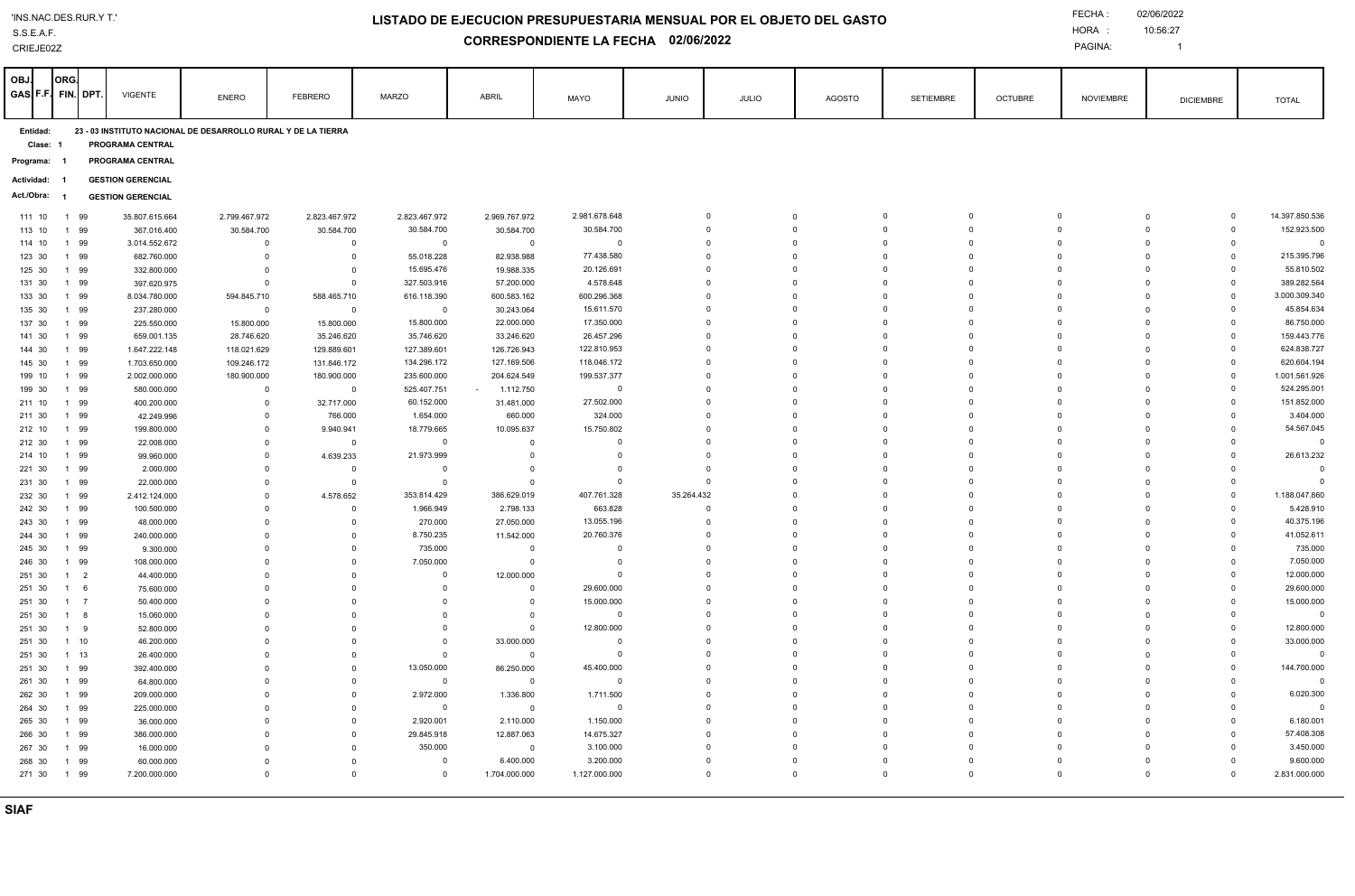CRIEJE02Z

## **LISTADO DE EJECUCION PRESUPUESTARIA MENSUAL POR EL OBJETO DEL GASTO**

**CORRESPONDIENTE LA FECHA 02/06/2022**

PAGINA:

10:56:27 

| Clase:<br>PROGRAMA CENTRAL<br>PROGRAMA CENTRAL<br>Programa:<br><b>GESTION GERENCIAL</b><br>Actividad:<br>- 1<br>Act./Obra:<br><b>GESTION GERENCIAL</b><br>2.823.467.972<br>2.981.678.648<br>2.799.467.972<br>2.823.467.972<br>2.969.767.972<br>$\mathbf 0$<br>$\mathbf 0$<br>$\mathbf 0$<br>$\overline{0}$<br>$\Omega$<br>$\mathbf 0$<br>111 10<br>99<br>35.807.615.664<br>$\Omega$<br>$\overline{1}$<br>$\mathbf{0}$<br>$\mathbf{0}$<br>30.584.700<br>30.584.700<br>$\mathbf 0$<br>$\mathbf 0$<br>$\mathbf 0$<br>$\Omega$<br>113 10<br>1<br>99<br>367.016.400<br>30.584.700<br>30.584.700<br>30.584.700<br>$\Omega$<br>99<br>3.014.552.672<br>$\overline{0}$<br>$\overline{0}$<br>$\Omega$<br>$\Omega$<br>$\Omega$<br>$\Omega$<br>$\Omega$<br>$\overline{0}$<br>114 10<br>$\mathbf 0$<br>$\mathbf{0}$<br>$\Omega$<br>$\mathbf{1}$<br>$\Omega$<br>77.438.580<br>215.395.796<br>$\Omega$<br>$\mathbf 0$<br>99<br>682.760.000<br>$\overline{0}$<br>$\mathbf 0$<br>55.018.228<br>82.938.988<br>$\mathbf 0$<br>123 30<br>$\mathbf{1}$<br>$\mathbf 0$<br>$\mathbf 0$<br>$\Omega$<br>$\Omega$<br>15.695.476<br>20.126.691<br>$\mathbf 0$<br>$\mathbf 0$<br>$\mathbf 0$<br>$\mathbf 0$<br>55.810.502<br>125 30<br>1 99<br>332.800.000<br>$\overline{0}$<br>$\overline{0}$<br>19.988.335<br>$\Omega$<br>$\Omega$<br>4.578.648<br>$\mathbf{0}$<br>389.282.564<br>327.503.916<br>$\mathbf 0$<br>$\mathbf 0$<br>$\Omega$<br>$\Omega$<br>131 30<br>1 99<br>397.620.975<br>57.200.000<br>$\Omega$<br>$\mathbf 0$<br>$\mathbf 0$<br>$\Omega$<br>133 30<br>99<br>594.845.710<br>616.118.390<br>600.583.162<br>600.296.368<br>$\mathbf 0$<br>$\mathbf 0$<br>$\Omega$<br>$\mathbf 0$<br>3.000.309.340<br>$\mathbf{1}$<br>8.034.780.000<br>588.465.710<br>$\Omega$<br>$\Omega$<br>15.611.570<br>$\mathbf 0$<br>45.854.634<br>135 30<br>1 99<br>$\mathbf 0$<br>30.243.064<br>$\circ$<br>$\mathbf 0$<br>237.280.000<br>$\mathbf 0$<br>$\overline{0}$<br>0<br>$\mathbf 0$<br>$\Omega$<br>17.350.000<br>$\mathbf 0$<br>$\mathbf 0$<br>$\mathbf 0$<br>137 30<br>1 99<br>225.550.000<br>15.800.000<br>15.800.000<br>15.800.000<br>22.000.000<br>$\mathbf 0$<br>$\mathbf 0$<br>86.750.000<br>$\Omega$<br>$\Omega$<br>35.746.620<br>26.457.296<br>$\Omega$<br>$\Omega$<br>$\Omega$<br>$\Omega$<br>$\mathbf 0$<br>159.443.776<br>141 30<br>1 99<br>659.001.135<br>28.746.620<br>35.246.620<br>33.246.620<br>$\Omega$<br>$\Omega$<br>127.389.601<br>126.726.943<br>122.810.953<br>$\mathbf 0$<br>144 30<br>1 99<br>1.647.222.148<br>118.021.629<br>129.889.601<br>$\mathbf 0$<br>0<br>$\mathbf 0$<br>$\mathbf 0$<br>$\Omega$<br>118.046.172<br>145 30<br>1 99<br>109.246.172<br>131.846.172<br>134.296.172<br>127.169.506<br>$\Omega$<br>$\Omega$<br>$\Omega$<br>$\mathbf 0$<br>1.703.650.000<br>$\Omega$<br>$\Omega$<br>$\Omega$<br>199.537.377<br>235.600.000<br>$\Omega$<br>$\mathbf 0$<br>99<br>180.900.000<br>204.624.549<br>$\Omega$<br>$\Omega$<br>$\Omega$<br>199 10<br>$\mathbf{1}$<br>2.002.000.000<br>180.900.000<br>$\cap$<br>$\Omega$<br>525.407.751<br>$\Omega$<br>$\Omega$<br>199 30<br>1 99<br>580.000.000<br>$\mathbf 0$<br>1.112.750<br>$\Omega$<br>$\Omega$<br>$\Omega$<br>$\Omega$<br>$\Omega$<br>$\overline{0}$<br>$\sim$<br>$\Omega$<br>27.502.000<br>60.152.000<br>31.481.000<br>$\mathbf 0$<br>$\mathbf 0$<br>99<br>400.200.000<br>$\mathbf 0$<br>32.717.000<br>$\Omega$<br>$\mathbf 0$<br>$\Omega$<br>$\Omega$<br>211 10<br>$\mathbf{1}$<br>$\Omega$<br>1 99<br>$\Omega$<br>766.000<br>1.654.000<br>660.000<br>324.000<br>$\Omega$<br>$\Omega$<br>$\Omega$<br>211 30<br>42.249.996<br>$\Omega$<br>$\Omega$<br>$\Omega$<br>$\Omega$<br>15.750.802<br>$\Omega$<br>$\Omega$<br>1 99<br>199.800.000<br>18.779.665<br>10.095.637<br>$\Omega$<br>$\Omega$<br>$\Omega$<br>212 10<br>$\mathbf 0$<br>9.940.941<br>$\Omega$<br>$\Omega$<br>99<br>22.008.000<br>$^{\circ}$<br>$\overline{0}$<br>$\Omega$<br>$\Omega$<br>$\Omega$<br>$\Omega$<br>$\Omega$<br>$\Omega$<br>212 30<br>1<br>$\Omega$<br>$\overline{0}$<br>$\Omega$<br>21.973.999<br>$\mathbf{0}$<br>4.639.233<br>$\overline{0}$<br>$\Omega$<br>$\Omega$<br>$\Omega$<br>$\Omega$<br>$\Omega$<br>$\Omega$<br>214 10<br>1 99<br>99.960.000<br>$\mathbf 0$<br>1 99<br>221 30<br>2.000.000<br>$\mathbf 0$<br>$\Omega$<br>$^{\circ}$<br>$\Omega$<br>$^{\circ}$<br>$\mathbf 0$<br>$\Omega$<br>$\Omega$<br>$\Omega$<br>$\Omega$<br>$\Omega$<br>231 30<br>1 99<br>22.000.000<br>$\mathbf{0}$<br>$\overline{0}$<br>$\Omega$<br>$\Omega$<br>$\Omega$<br>$\Omega$<br>$\Omega$<br>$\Omega$<br>$\Omega$<br>$\overline{0}$<br>$\Omega$<br>$\Omega$<br>99<br>4.578.652<br>353.814.429<br>407.761.328<br>35.264.432<br>$\mathbf 0$<br>$\Omega$<br>$\Omega$<br>$\mathbf{0}$<br>232 30<br>$\mathbf{1}$<br>2.412.124.000<br>$\mathbf 0$<br>386.629.019<br>$\Omega$<br>0<br>2.798.133<br>663.828<br>1 99<br>100.500.000<br>1.966.949<br>$\Omega$<br>$\Omega$<br>$\Omega$<br>$\Omega$<br>$\Omega$<br>$\Omega$<br>242 30<br>$\mathbf 0$<br>$\Omega$<br>$\Omega$<br>$\mathbf 0$<br>243 30<br>99<br>$\mathbf 0$<br>$\mathbf 0$<br>270.000<br>27.050.000<br>13.055.196<br>$\mathbf 0$<br>$\Omega$<br>$\Omega$<br>$\Omega$<br>$\mathbf{1}$<br>48.000.000<br>$\Omega$<br>$\Omega$<br>1 99<br>240.000.000<br>8.750.235<br>11.542.000<br>20.760.376<br>$\mathbf 0$<br>$\Omega$<br>$\Omega$<br>$\Omega$<br>$\mathbf 0$<br>244 30<br>$\Omega$<br>$\Omega$<br>$\Omega$<br>735.000<br>$\mathbf 0$<br>$\mathbf 0$<br>$\mathbf 0$<br>$\Omega$<br>$\Omega$<br>$\mathbf 0$<br>99<br>9.300.000<br>$\mathbf 0$<br>$\Omega$<br>$\overline{0}$<br>$\Omega$<br>245 30<br>$\mathbf{1}$<br>$\Omega$<br>7.050.000<br>1 99<br>7.050.000<br>$\mathbf 0$<br>$\mathbf 0$<br>$\Omega$<br>$\Omega$<br>$\Omega$<br>$\mathbf 0$<br>246 30<br>108.000.000<br>$\Omega$<br>$\Omega$<br>$\overline{0}$<br>$\Omega$<br>12.000.000<br>12.000.000<br>$\mathbf{0}$<br>251 30<br>$1 \quad 2$<br>$\Omega$<br>$\Omega$<br>$\mathbf 0$<br>$\mathbf 0$<br>$\Omega$<br>$\Omega$<br>$\Omega$<br>$\Omega$<br>44.400.000<br>$\mathbf 0$<br>$\Omega$<br>29.600.000<br>$\mathbf 0$<br>$\mathbf 0$<br>$\mathbf 0$<br>29.600.000<br>251 30<br>6<br>75.600.000<br>$\mathbf 0$<br>$\Omega$<br>$\mathbf 0$<br>0<br>$\mathbf 0$<br>$\mathbf{1}$<br>$\Omega$<br>$\Omega$<br>15.000.000<br>$1 \quad 7$<br>$\mathbf 0$<br>15.000.000<br>$\mathbf 0$<br>$\Omega$<br>$\Omega$<br>$\Omega$<br>$\mathbf 0$<br>251 30<br>50.400.000<br>$\mathbf 0$<br>$\Omega$<br>$\mathbf 0$<br>$\Omega$<br>$\Omega$<br>$\mathbf 0$<br>$\mathbf 0$<br>$\overline{0}$<br>$\mathbf 0$<br>$\mathbf 0$<br>$\Omega$<br>$\Omega$<br>251 30<br>$1 \quad 8$<br>15.060.000<br>$\mathbf 0$<br>$\Omega$<br>$\mathbf{0}$<br>$\Omega$<br>12.800.000<br>$\mathbf{0}$<br>12.800.000<br>251 30<br>9<br>52.800.000<br>$\Omega$<br>$\Omega$<br>$\overline{0}$<br>$\Omega$<br>$\Omega$<br>$\Omega$<br>1<br>$\Omega$<br>$\Omega$<br>$\Omega$<br>$\mathbf 0$<br>$\mathbf 0$<br>251 30<br>$1 \quad 10$<br>46.200.000<br>$\mathbf 0$<br>33.000.000<br>$\mathbf 0$<br>$\mathbf 0$<br>$\mathbf 0$<br>$\mathbf 0$<br>0<br>$\mathbf 0$<br>$\Omega$<br>$1 \quad 13$<br>$\mathbf 0$<br>$\mathbf 0$<br>$\mathbf 0$<br>$\mathbf 0$<br>$\mathbf 0$<br>$\mathbf 0$<br>251 30<br>26.400.000<br>$\mathbf 0$<br>$\Omega$<br>$\mathbf 0$<br>$\Omega$<br>$\Omega$<br>$\Omega$<br>$\mathbf{0}$<br>13.050.000<br>45.400.000<br>$\Omega$<br>251 30<br>99<br>392.400.000<br>$\mathbf 0$<br>$\mathbf{0}$<br>86.250.000<br>$\mathbf 0$<br>$\Omega$<br>$\mathbf 0$<br>$\Omega$<br>$\mathbf{1}$<br>$\Omega$<br>261 30<br>1 99<br>$\mathbf 0$<br>$\overline{0}$<br>$\mathbf 0$<br>$\mathbf 0$<br>$\mathbf 0$<br>$\mathbf 0$<br>64.800.000<br>$\mathbf 0$<br>$\mathbf 0$<br>$\Omega$<br>$\Omega$<br>$\Omega$<br>$\Omega$<br>2.972.000<br>1.336.800<br>1.711.500<br>1 99<br>$\mathbf{0}$<br>$\circ$<br>$\mathbf 0$<br>262 30<br>209.000.000<br>$\mathbf 0$<br>$\Omega$<br>$\mathbf 0$<br>$\Omega$<br>$\Omega$<br>$\Omega$<br>$\Omega$<br>$\Omega$<br>$\Omega$<br>264 30<br>1 99<br>225.000.000<br>$\mathbf 0$<br>$\Omega$<br>$\Omega$<br>$\Omega$<br>$\Omega$<br>$\Omega$<br>$\mathbf 0$<br>$\overline{0}$<br>2.920.001<br>1.150.000<br>$\Omega$<br>$\Omega$<br>1 99<br>$\Omega$<br>2.110.000<br>$\Omega$<br>$\Omega$<br>$\Omega$<br>$\Omega$<br>265 30<br>36.000.000<br>$\mathbf 0$<br>$\Omega$<br>29.845.918<br>12.887.063<br>14.675.327<br>$\Omega$<br>266 30<br>1 99<br>386.000.000<br>$\Omega$<br>$\Omega$<br>$\Omega$<br>$\Omega$<br>$\Omega$<br>$\Omega$<br>$\Omega$<br>1 99<br>16.000.000<br>$\Omega$<br>350.000<br>3.100.000<br>267 30<br>$\Omega$<br>$^{\circ}$<br>$\Omega$<br>$\Omega$<br>$\Omega$<br>$\Omega$<br>$\Omega$<br>$\Omega$<br>$\Omega$<br>$\Omega$<br>$\overline{0}$<br>1 99<br>3.200.000<br>$\mathbf 0$<br>$\Omega$<br>$\Omega$<br>268 30<br>60.000.000<br>$\Omega$<br>$\Omega$<br>$\Omega$<br>6.400.000<br>$\Omega$<br>$\Omega$ | <b>OBJ</b><br>GASIF.F.I FIN.                                              |  | <b>ORG</b> | <b>DPT</b><br><b>VIGENTE</b> | ENERO    | <b>FEBRERO</b> | <b>MARZO</b> | ABRIL         | MAYO          | <b>JUNIO</b> | JULIO    | <b>AGOSTO</b> | <b>SETIEMBRE</b> | <b>OCTUBRE</b> | <b>NOVIEMBRE</b> | <b>DICIEMBRE</b> | <b>TOTAL</b>   |
|------------------------------------------------------------------------------------------------------------------------------------------------------------------------------------------------------------------------------------------------------------------------------------------------------------------------------------------------------------------------------------------------------------------------------------------------------------------------------------------------------------------------------------------------------------------------------------------------------------------------------------------------------------------------------------------------------------------------------------------------------------------------------------------------------------------------------------------------------------------------------------------------------------------------------------------------------------------------------------------------------------------------------------------------------------------------------------------------------------------------------------------------------------------------------------------------------------------------------------------------------------------------------------------------------------------------------------------------------------------------------------------------------------------------------------------------------------------------------------------------------------------------------------------------------------------------------------------------------------------------------------------------------------------------------------------------------------------------------------------------------------------------------------------------------------------------------------------------------------------------------------------------------------------------------------------------------------------------------------------------------------------------------------------------------------------------------------------------------------------------------------------------------------------------------------------------------------------------------------------------------------------------------------------------------------------------------------------------------------------------------------------------------------------------------------------------------------------------------------------------------------------------------------------------------------------------------------------------------------------------------------------------------------------------------------------------------------------------------------------------------------------------------------------------------------------------------------------------------------------------------------------------------------------------------------------------------------------------------------------------------------------------------------------------------------------------------------------------------------------------------------------------------------------------------------------------------------------------------------------------------------------------------------------------------------------------------------------------------------------------------------------------------------------------------------------------------------------------------------------------------------------------------------------------------------------------------------------------------------------------------------------------------------------------------------------------------------------------------------------------------------------------------------------------------------------------------------------------------------------------------------------------------------------------------------------------------------------------------------------------------------------------------------------------------------------------------------------------------------------------------------------------------------------------------------------------------------------------------------------------------------------------------------------------------------------------------------------------------------------------------------------------------------------------------------------------------------------------------------------------------------------------------------------------------------------------------------------------------------------------------------------------------------------------------------------------------------------------------------------------------------------------------------------------------------------------------------------------------------------------------------------------------------------------------------------------------------------------------------------------------------------------------------------------------------------------------------------------------------------------------------------------------------------------------------------------------------------------------------------------------------------------------------------------------------------------------------------------------------------------------------------------------------------------------------------------------------------------------------------------------------------------------------------------------------------------------------------------------------------------------------------------------------------------------------------------------------------------------------------------------------------------------------------------------------------------------------------------------------------------------------------------------------------------------------------------------------------------------------------------------------------------------------------------------------------------------------------------------------------------------------------------------------------------------------------------------------------------------------------------------------------------------------------------------------------------------------------------------------------------------------------------------------------------------------------------------------------------------------------------------------------------------------------------------------------------------------------------------------------------------------------------------------------------------------------------------------------------------------------------------------------------------------------------------------------------------------------------------------------------------------------------------------------------------------------------------------------------------------------------------------------------------------------------------------------------------------------------------------------------------------------------------------------------------------------------------------------------------------------------------------------------------------------------------------------------------------------------------------------------------------------------------------------------------------------------------------------------------------------------------------------------------------------------------------------------------------------------------------------------------------------------------------------------------------------------------------------------------------------------------------------------------------------------------------------------------------------------------------------------------------------------------------------------------------------------------------------------------------------------------------------------------------------------------------------------------------------------------------------------------------------------------------------------------------------------------------------------------------------------------------------------------------------------------------------------------------------------------------------------------------------------------------------------------------------------------------------------------------------------------------------------------------------------------------------------------------------------------------------------------------------------------------------------------------------------------------------------------------------------------------------------------------------------------------------------------------------------|---------------------------------------------------------------------------|--|------------|------------------------------|----------|----------------|--------------|---------------|---------------|--------------|----------|---------------|------------------|----------------|------------------|------------------|----------------|
|                                                                                                                                                                                                                                                                                                                                                                                                                                                                                                                                                                                                                                                                                                                                                                                                                                                                                                                                                                                                                                                                                                                                                                                                                                                                                                                                                                                                                                                                                                                                                                                                                                                                                                                                                                                                                                                                                                                                                                                                                                                                                                                                                                                                                                                                                                                                                                                                                                                                                                                                                                                                                                                                                                                                                                                                                                                                                                                                                                                                                                                                                                                                                                                                                                                                                                                                                                                                                                                                                                                                                                                                                                                                                                                                                                                                                                                                                                                                                                                                                                                                                                                                                                                                                                                                                                                                                                                                                                                                                                                                                                                                                                                                                                                                                                                                                                                                                                                                                                                                                                                                                                                                                                                                                                                                                                                                                                                                                                                                                                                                                                                                                                                                                                                                                                                                                                                                                                                                                                                                                                                                                                                                                                                                                                                                                                                                                                                                                                                                                                                                                                                                                                                                                                                                                                                                                                                                                                                                                                                                                                                                                                                                                                                                                                                                                                                                                                                                                                                                                                                                                                                                                                                                                                                                                                                                                                                                                                                                                                                                                                                                                                                                                                                                                                                                                                                                                                                                                                                                                                                                                                                                                                                                                                                                                                                                                                                | 23 - 03 INSTITUTO NACIONAL DE DESARROLLO RURAL Y DE LA TIERRA<br>Entidad: |  |            |                              |          |                |              |               |               |              |          |               |                  |                |                  |                  |                |
|                                                                                                                                                                                                                                                                                                                                                                                                                                                                                                                                                                                                                                                                                                                                                                                                                                                                                                                                                                                                                                                                                                                                                                                                                                                                                                                                                                                                                                                                                                                                                                                                                                                                                                                                                                                                                                                                                                                                                                                                                                                                                                                                                                                                                                                                                                                                                                                                                                                                                                                                                                                                                                                                                                                                                                                                                                                                                                                                                                                                                                                                                                                                                                                                                                                                                                                                                                                                                                                                                                                                                                                                                                                                                                                                                                                                                                                                                                                                                                                                                                                                                                                                                                                                                                                                                                                                                                                                                                                                                                                                                                                                                                                                                                                                                                                                                                                                                                                                                                                                                                                                                                                                                                                                                                                                                                                                                                                                                                                                                                                                                                                                                                                                                                                                                                                                                                                                                                                                                                                                                                                                                                                                                                                                                                                                                                                                                                                                                                                                                                                                                                                                                                                                                                                                                                                                                                                                                                                                                                                                                                                                                                                                                                                                                                                                                                                                                                                                                                                                                                                                                                                                                                                                                                                                                                                                                                                                                                                                                                                                                                                                                                                                                                                                                                                                                                                                                                                                                                                                                                                                                                                                                                                                                                                                                                                                                                                |                                                                           |  |            |                              |          |                |              |               |               |              |          |               |                  |                |                  |                  |                |
|                                                                                                                                                                                                                                                                                                                                                                                                                                                                                                                                                                                                                                                                                                                                                                                                                                                                                                                                                                                                                                                                                                                                                                                                                                                                                                                                                                                                                                                                                                                                                                                                                                                                                                                                                                                                                                                                                                                                                                                                                                                                                                                                                                                                                                                                                                                                                                                                                                                                                                                                                                                                                                                                                                                                                                                                                                                                                                                                                                                                                                                                                                                                                                                                                                                                                                                                                                                                                                                                                                                                                                                                                                                                                                                                                                                                                                                                                                                                                                                                                                                                                                                                                                                                                                                                                                                                                                                                                                                                                                                                                                                                                                                                                                                                                                                                                                                                                                                                                                                                                                                                                                                                                                                                                                                                                                                                                                                                                                                                                                                                                                                                                                                                                                                                                                                                                                                                                                                                                                                                                                                                                                                                                                                                                                                                                                                                                                                                                                                                                                                                                                                                                                                                                                                                                                                                                                                                                                                                                                                                                                                                                                                                                                                                                                                                                                                                                                                                                                                                                                                                                                                                                                                                                                                                                                                                                                                                                                                                                                                                                                                                                                                                                                                                                                                                                                                                                                                                                                                                                                                                                                                                                                                                                                                                                                                                                                                |                                                                           |  |            |                              |          |                |              |               |               |              |          |               |                  |                |                  |                  |                |
|                                                                                                                                                                                                                                                                                                                                                                                                                                                                                                                                                                                                                                                                                                                                                                                                                                                                                                                                                                                                                                                                                                                                                                                                                                                                                                                                                                                                                                                                                                                                                                                                                                                                                                                                                                                                                                                                                                                                                                                                                                                                                                                                                                                                                                                                                                                                                                                                                                                                                                                                                                                                                                                                                                                                                                                                                                                                                                                                                                                                                                                                                                                                                                                                                                                                                                                                                                                                                                                                                                                                                                                                                                                                                                                                                                                                                                                                                                                                                                                                                                                                                                                                                                                                                                                                                                                                                                                                                                                                                                                                                                                                                                                                                                                                                                                                                                                                                                                                                                                                                                                                                                                                                                                                                                                                                                                                                                                                                                                                                                                                                                                                                                                                                                                                                                                                                                                                                                                                                                                                                                                                                                                                                                                                                                                                                                                                                                                                                                                                                                                                                                                                                                                                                                                                                                                                                                                                                                                                                                                                                                                                                                                                                                                                                                                                                                                                                                                                                                                                                                                                                                                                                                                                                                                                                                                                                                                                                                                                                                                                                                                                                                                                                                                                                                                                                                                                                                                                                                                                                                                                                                                                                                                                                                                                                                                                                                                |                                                                           |  |            |                              |          |                |              |               |               |              |          |               |                  |                |                  |                  |                |
|                                                                                                                                                                                                                                                                                                                                                                                                                                                                                                                                                                                                                                                                                                                                                                                                                                                                                                                                                                                                                                                                                                                                                                                                                                                                                                                                                                                                                                                                                                                                                                                                                                                                                                                                                                                                                                                                                                                                                                                                                                                                                                                                                                                                                                                                                                                                                                                                                                                                                                                                                                                                                                                                                                                                                                                                                                                                                                                                                                                                                                                                                                                                                                                                                                                                                                                                                                                                                                                                                                                                                                                                                                                                                                                                                                                                                                                                                                                                                                                                                                                                                                                                                                                                                                                                                                                                                                                                                                                                                                                                                                                                                                                                                                                                                                                                                                                                                                                                                                                                                                                                                                                                                                                                                                                                                                                                                                                                                                                                                                                                                                                                                                                                                                                                                                                                                                                                                                                                                                                                                                                                                                                                                                                                                                                                                                                                                                                                                                                                                                                                                                                                                                                                                                                                                                                                                                                                                                                                                                                                                                                                                                                                                                                                                                                                                                                                                                                                                                                                                                                                                                                                                                                                                                                                                                                                                                                                                                                                                                                                                                                                                                                                                                                                                                                                                                                                                                                                                                                                                                                                                                                                                                                                                                                                                                                                                                                |                                                                           |  |            |                              |          |                |              |               |               |              |          |               |                  |                |                  |                  |                |
|                                                                                                                                                                                                                                                                                                                                                                                                                                                                                                                                                                                                                                                                                                                                                                                                                                                                                                                                                                                                                                                                                                                                                                                                                                                                                                                                                                                                                                                                                                                                                                                                                                                                                                                                                                                                                                                                                                                                                                                                                                                                                                                                                                                                                                                                                                                                                                                                                                                                                                                                                                                                                                                                                                                                                                                                                                                                                                                                                                                                                                                                                                                                                                                                                                                                                                                                                                                                                                                                                                                                                                                                                                                                                                                                                                                                                                                                                                                                                                                                                                                                                                                                                                                                                                                                                                                                                                                                                                                                                                                                                                                                                                                                                                                                                                                                                                                                                                                                                                                                                                                                                                                                                                                                                                                                                                                                                                                                                                                                                                                                                                                                                                                                                                                                                                                                                                                                                                                                                                                                                                                                                                                                                                                                                                                                                                                                                                                                                                                                                                                                                                                                                                                                                                                                                                                                                                                                                                                                                                                                                                                                                                                                                                                                                                                                                                                                                                                                                                                                                                                                                                                                                                                                                                                                                                                                                                                                                                                                                                                                                                                                                                                                                                                                                                                                                                                                                                                                                                                                                                                                                                                                                                                                                                                                                                                                                                                |                                                                           |  |            |                              |          |                |              |               |               |              |          |               |                  |                |                  |                  | 14.397.850.536 |
|                                                                                                                                                                                                                                                                                                                                                                                                                                                                                                                                                                                                                                                                                                                                                                                                                                                                                                                                                                                                                                                                                                                                                                                                                                                                                                                                                                                                                                                                                                                                                                                                                                                                                                                                                                                                                                                                                                                                                                                                                                                                                                                                                                                                                                                                                                                                                                                                                                                                                                                                                                                                                                                                                                                                                                                                                                                                                                                                                                                                                                                                                                                                                                                                                                                                                                                                                                                                                                                                                                                                                                                                                                                                                                                                                                                                                                                                                                                                                                                                                                                                                                                                                                                                                                                                                                                                                                                                                                                                                                                                                                                                                                                                                                                                                                                                                                                                                                                                                                                                                                                                                                                                                                                                                                                                                                                                                                                                                                                                                                                                                                                                                                                                                                                                                                                                                                                                                                                                                                                                                                                                                                                                                                                                                                                                                                                                                                                                                                                                                                                                                                                                                                                                                                                                                                                                                                                                                                                                                                                                                                                                                                                                                                                                                                                                                                                                                                                                                                                                                                                                                                                                                                                                                                                                                                                                                                                                                                                                                                                                                                                                                                                                                                                                                                                                                                                                                                                                                                                                                                                                                                                                                                                                                                                                                                                                                                                |                                                                           |  |            |                              |          |                |              |               |               |              |          |               |                  |                |                  |                  | 152.923.500    |
|                                                                                                                                                                                                                                                                                                                                                                                                                                                                                                                                                                                                                                                                                                                                                                                                                                                                                                                                                                                                                                                                                                                                                                                                                                                                                                                                                                                                                                                                                                                                                                                                                                                                                                                                                                                                                                                                                                                                                                                                                                                                                                                                                                                                                                                                                                                                                                                                                                                                                                                                                                                                                                                                                                                                                                                                                                                                                                                                                                                                                                                                                                                                                                                                                                                                                                                                                                                                                                                                                                                                                                                                                                                                                                                                                                                                                                                                                                                                                                                                                                                                                                                                                                                                                                                                                                                                                                                                                                                                                                                                                                                                                                                                                                                                                                                                                                                                                                                                                                                                                                                                                                                                                                                                                                                                                                                                                                                                                                                                                                                                                                                                                                                                                                                                                                                                                                                                                                                                                                                                                                                                                                                                                                                                                                                                                                                                                                                                                                                                                                                                                                                                                                                                                                                                                                                                                                                                                                                                                                                                                                                                                                                                                                                                                                                                                                                                                                                                                                                                                                                                                                                                                                                                                                                                                                                                                                                                                                                                                                                                                                                                                                                                                                                                                                                                                                                                                                                                                                                                                                                                                                                                                                                                                                                                                                                                                                                |                                                                           |  |            |                              |          |                |              |               |               |              |          |               |                  |                |                  |                  | $\overline{0}$ |
|                                                                                                                                                                                                                                                                                                                                                                                                                                                                                                                                                                                                                                                                                                                                                                                                                                                                                                                                                                                                                                                                                                                                                                                                                                                                                                                                                                                                                                                                                                                                                                                                                                                                                                                                                                                                                                                                                                                                                                                                                                                                                                                                                                                                                                                                                                                                                                                                                                                                                                                                                                                                                                                                                                                                                                                                                                                                                                                                                                                                                                                                                                                                                                                                                                                                                                                                                                                                                                                                                                                                                                                                                                                                                                                                                                                                                                                                                                                                                                                                                                                                                                                                                                                                                                                                                                                                                                                                                                                                                                                                                                                                                                                                                                                                                                                                                                                                                                                                                                                                                                                                                                                                                                                                                                                                                                                                                                                                                                                                                                                                                                                                                                                                                                                                                                                                                                                                                                                                                                                                                                                                                                                                                                                                                                                                                                                                                                                                                                                                                                                                                                                                                                                                                                                                                                                                                                                                                                                                                                                                                                                                                                                                                                                                                                                                                                                                                                                                                                                                                                                                                                                                                                                                                                                                                                                                                                                                                                                                                                                                                                                                                                                                                                                                                                                                                                                                                                                                                                                                                                                                                                                                                                                                                                                                                                                                                                                |                                                                           |  |            |                              |          |                |              |               |               |              |          |               |                  |                |                  |                  |                |
|                                                                                                                                                                                                                                                                                                                                                                                                                                                                                                                                                                                                                                                                                                                                                                                                                                                                                                                                                                                                                                                                                                                                                                                                                                                                                                                                                                                                                                                                                                                                                                                                                                                                                                                                                                                                                                                                                                                                                                                                                                                                                                                                                                                                                                                                                                                                                                                                                                                                                                                                                                                                                                                                                                                                                                                                                                                                                                                                                                                                                                                                                                                                                                                                                                                                                                                                                                                                                                                                                                                                                                                                                                                                                                                                                                                                                                                                                                                                                                                                                                                                                                                                                                                                                                                                                                                                                                                                                                                                                                                                                                                                                                                                                                                                                                                                                                                                                                                                                                                                                                                                                                                                                                                                                                                                                                                                                                                                                                                                                                                                                                                                                                                                                                                                                                                                                                                                                                                                                                                                                                                                                                                                                                                                                                                                                                                                                                                                                                                                                                                                                                                                                                                                                                                                                                                                                                                                                                                                                                                                                                                                                                                                                                                                                                                                                                                                                                                                                                                                                                                                                                                                                                                                                                                                                                                                                                                                                                                                                                                                                                                                                                                                                                                                                                                                                                                                                                                                                                                                                                                                                                                                                                                                                                                                                                                                                                                |                                                                           |  |            |                              |          |                |              |               |               |              |          |               |                  |                |                  |                  |                |
|                                                                                                                                                                                                                                                                                                                                                                                                                                                                                                                                                                                                                                                                                                                                                                                                                                                                                                                                                                                                                                                                                                                                                                                                                                                                                                                                                                                                                                                                                                                                                                                                                                                                                                                                                                                                                                                                                                                                                                                                                                                                                                                                                                                                                                                                                                                                                                                                                                                                                                                                                                                                                                                                                                                                                                                                                                                                                                                                                                                                                                                                                                                                                                                                                                                                                                                                                                                                                                                                                                                                                                                                                                                                                                                                                                                                                                                                                                                                                                                                                                                                                                                                                                                                                                                                                                                                                                                                                                                                                                                                                                                                                                                                                                                                                                                                                                                                                                                                                                                                                                                                                                                                                                                                                                                                                                                                                                                                                                                                                                                                                                                                                                                                                                                                                                                                                                                                                                                                                                                                                                                                                                                                                                                                                                                                                                                                                                                                                                                                                                                                                                                                                                                                                                                                                                                                                                                                                                                                                                                                                                                                                                                                                                                                                                                                                                                                                                                                                                                                                                                                                                                                                                                                                                                                                                                                                                                                                                                                                                                                                                                                                                                                                                                                                                                                                                                                                                                                                                                                                                                                                                                                                                                                                                                                                                                                                                                |                                                                           |  |            |                              |          |                |              |               |               |              |          |               |                  |                |                  |                  |                |
|                                                                                                                                                                                                                                                                                                                                                                                                                                                                                                                                                                                                                                                                                                                                                                                                                                                                                                                                                                                                                                                                                                                                                                                                                                                                                                                                                                                                                                                                                                                                                                                                                                                                                                                                                                                                                                                                                                                                                                                                                                                                                                                                                                                                                                                                                                                                                                                                                                                                                                                                                                                                                                                                                                                                                                                                                                                                                                                                                                                                                                                                                                                                                                                                                                                                                                                                                                                                                                                                                                                                                                                                                                                                                                                                                                                                                                                                                                                                                                                                                                                                                                                                                                                                                                                                                                                                                                                                                                                                                                                                                                                                                                                                                                                                                                                                                                                                                                                                                                                                                                                                                                                                                                                                                                                                                                                                                                                                                                                                                                                                                                                                                                                                                                                                                                                                                                                                                                                                                                                                                                                                                                                                                                                                                                                                                                                                                                                                                                                                                                                                                                                                                                                                                                                                                                                                                                                                                                                                                                                                                                                                                                                                                                                                                                                                                                                                                                                                                                                                                                                                                                                                                                                                                                                                                                                                                                                                                                                                                                                                                                                                                                                                                                                                                                                                                                                                                                                                                                                                                                                                                                                                                                                                                                                                                                                                                                                |                                                                           |  |            |                              |          |                |              |               |               |              |          |               |                  |                |                  |                  |                |
|                                                                                                                                                                                                                                                                                                                                                                                                                                                                                                                                                                                                                                                                                                                                                                                                                                                                                                                                                                                                                                                                                                                                                                                                                                                                                                                                                                                                                                                                                                                                                                                                                                                                                                                                                                                                                                                                                                                                                                                                                                                                                                                                                                                                                                                                                                                                                                                                                                                                                                                                                                                                                                                                                                                                                                                                                                                                                                                                                                                                                                                                                                                                                                                                                                                                                                                                                                                                                                                                                                                                                                                                                                                                                                                                                                                                                                                                                                                                                                                                                                                                                                                                                                                                                                                                                                                                                                                                                                                                                                                                                                                                                                                                                                                                                                                                                                                                                                                                                                                                                                                                                                                                                                                                                                                                                                                                                                                                                                                                                                                                                                                                                                                                                                                                                                                                                                                                                                                                                                                                                                                                                                                                                                                                                                                                                                                                                                                                                                                                                                                                                                                                                                                                                                                                                                                                                                                                                                                                                                                                                                                                                                                                                                                                                                                                                                                                                                                                                                                                                                                                                                                                                                                                                                                                                                                                                                                                                                                                                                                                                                                                                                                                                                                                                                                                                                                                                                                                                                                                                                                                                                                                                                                                                                                                                                                                                                                |                                                                           |  |            |                              |          |                |              |               |               |              |          |               |                  |                |                  |                  |                |
|                                                                                                                                                                                                                                                                                                                                                                                                                                                                                                                                                                                                                                                                                                                                                                                                                                                                                                                                                                                                                                                                                                                                                                                                                                                                                                                                                                                                                                                                                                                                                                                                                                                                                                                                                                                                                                                                                                                                                                                                                                                                                                                                                                                                                                                                                                                                                                                                                                                                                                                                                                                                                                                                                                                                                                                                                                                                                                                                                                                                                                                                                                                                                                                                                                                                                                                                                                                                                                                                                                                                                                                                                                                                                                                                                                                                                                                                                                                                                                                                                                                                                                                                                                                                                                                                                                                                                                                                                                                                                                                                                                                                                                                                                                                                                                                                                                                                                                                                                                                                                                                                                                                                                                                                                                                                                                                                                                                                                                                                                                                                                                                                                                                                                                                                                                                                                                                                                                                                                                                                                                                                                                                                                                                                                                                                                                                                                                                                                                                                                                                                                                                                                                                                                                                                                                                                                                                                                                                                                                                                                                                                                                                                                                                                                                                                                                                                                                                                                                                                                                                                                                                                                                                                                                                                                                                                                                                                                                                                                                                                                                                                                                                                                                                                                                                                                                                                                                                                                                                                                                                                                                                                                                                                                                                                                                                                                                                |                                                                           |  |            |                              |          |                |              |               |               |              |          |               |                  |                |                  |                  |                |
|                                                                                                                                                                                                                                                                                                                                                                                                                                                                                                                                                                                                                                                                                                                                                                                                                                                                                                                                                                                                                                                                                                                                                                                                                                                                                                                                                                                                                                                                                                                                                                                                                                                                                                                                                                                                                                                                                                                                                                                                                                                                                                                                                                                                                                                                                                                                                                                                                                                                                                                                                                                                                                                                                                                                                                                                                                                                                                                                                                                                                                                                                                                                                                                                                                                                                                                                                                                                                                                                                                                                                                                                                                                                                                                                                                                                                                                                                                                                                                                                                                                                                                                                                                                                                                                                                                                                                                                                                                                                                                                                                                                                                                                                                                                                                                                                                                                                                                                                                                                                                                                                                                                                                                                                                                                                                                                                                                                                                                                                                                                                                                                                                                                                                                                                                                                                                                                                                                                                                                                                                                                                                                                                                                                                                                                                                                                                                                                                                                                                                                                                                                                                                                                                                                                                                                                                                                                                                                                                                                                                                                                                                                                                                                                                                                                                                                                                                                                                                                                                                                                                                                                                                                                                                                                                                                                                                                                                                                                                                                                                                                                                                                                                                                                                                                                                                                                                                                                                                                                                                                                                                                                                                                                                                                                                                                                                                                                |                                                                           |  |            |                              |          |                |              |               |               |              |          |               |                  |                |                  |                  | 624.838.727    |
|                                                                                                                                                                                                                                                                                                                                                                                                                                                                                                                                                                                                                                                                                                                                                                                                                                                                                                                                                                                                                                                                                                                                                                                                                                                                                                                                                                                                                                                                                                                                                                                                                                                                                                                                                                                                                                                                                                                                                                                                                                                                                                                                                                                                                                                                                                                                                                                                                                                                                                                                                                                                                                                                                                                                                                                                                                                                                                                                                                                                                                                                                                                                                                                                                                                                                                                                                                                                                                                                                                                                                                                                                                                                                                                                                                                                                                                                                                                                                                                                                                                                                                                                                                                                                                                                                                                                                                                                                                                                                                                                                                                                                                                                                                                                                                                                                                                                                                                                                                                                                                                                                                                                                                                                                                                                                                                                                                                                                                                                                                                                                                                                                                                                                                                                                                                                                                                                                                                                                                                                                                                                                                                                                                                                                                                                                                                                                                                                                                                                                                                                                                                                                                                                                                                                                                                                                                                                                                                                                                                                                                                                                                                                                                                                                                                                                                                                                                                                                                                                                                                                                                                                                                                                                                                                                                                                                                                                                                                                                                                                                                                                                                                                                                                                                                                                                                                                                                                                                                                                                                                                                                                                                                                                                                                                                                                                                                                |                                                                           |  |            |                              |          |                |              |               |               |              |          |               |                  |                |                  |                  | 620.604.194    |
|                                                                                                                                                                                                                                                                                                                                                                                                                                                                                                                                                                                                                                                                                                                                                                                                                                                                                                                                                                                                                                                                                                                                                                                                                                                                                                                                                                                                                                                                                                                                                                                                                                                                                                                                                                                                                                                                                                                                                                                                                                                                                                                                                                                                                                                                                                                                                                                                                                                                                                                                                                                                                                                                                                                                                                                                                                                                                                                                                                                                                                                                                                                                                                                                                                                                                                                                                                                                                                                                                                                                                                                                                                                                                                                                                                                                                                                                                                                                                                                                                                                                                                                                                                                                                                                                                                                                                                                                                                                                                                                                                                                                                                                                                                                                                                                                                                                                                                                                                                                                                                                                                                                                                                                                                                                                                                                                                                                                                                                                                                                                                                                                                                                                                                                                                                                                                                                                                                                                                                                                                                                                                                                                                                                                                                                                                                                                                                                                                                                                                                                                                                                                                                                                                                                                                                                                                                                                                                                                                                                                                                                                                                                                                                                                                                                                                                                                                                                                                                                                                                                                                                                                                                                                                                                                                                                                                                                                                                                                                                                                                                                                                                                                                                                                                                                                                                                                                                                                                                                                                                                                                                                                                                                                                                                                                                                                                                                |                                                                           |  |            |                              |          |                |              |               |               |              |          |               |                  |                |                  |                  | 1.001.561.926  |
|                                                                                                                                                                                                                                                                                                                                                                                                                                                                                                                                                                                                                                                                                                                                                                                                                                                                                                                                                                                                                                                                                                                                                                                                                                                                                                                                                                                                                                                                                                                                                                                                                                                                                                                                                                                                                                                                                                                                                                                                                                                                                                                                                                                                                                                                                                                                                                                                                                                                                                                                                                                                                                                                                                                                                                                                                                                                                                                                                                                                                                                                                                                                                                                                                                                                                                                                                                                                                                                                                                                                                                                                                                                                                                                                                                                                                                                                                                                                                                                                                                                                                                                                                                                                                                                                                                                                                                                                                                                                                                                                                                                                                                                                                                                                                                                                                                                                                                                                                                                                                                                                                                                                                                                                                                                                                                                                                                                                                                                                                                                                                                                                                                                                                                                                                                                                                                                                                                                                                                                                                                                                                                                                                                                                                                                                                                                                                                                                                                                                                                                                                                                                                                                                                                                                                                                                                                                                                                                                                                                                                                                                                                                                                                                                                                                                                                                                                                                                                                                                                                                                                                                                                                                                                                                                                                                                                                                                                                                                                                                                                                                                                                                                                                                                                                                                                                                                                                                                                                                                                                                                                                                                                                                                                                                                                                                                                                                |                                                                           |  |            |                              |          |                |              |               |               |              |          |               |                  |                |                  |                  | 524.295.001    |
|                                                                                                                                                                                                                                                                                                                                                                                                                                                                                                                                                                                                                                                                                                                                                                                                                                                                                                                                                                                                                                                                                                                                                                                                                                                                                                                                                                                                                                                                                                                                                                                                                                                                                                                                                                                                                                                                                                                                                                                                                                                                                                                                                                                                                                                                                                                                                                                                                                                                                                                                                                                                                                                                                                                                                                                                                                                                                                                                                                                                                                                                                                                                                                                                                                                                                                                                                                                                                                                                                                                                                                                                                                                                                                                                                                                                                                                                                                                                                                                                                                                                                                                                                                                                                                                                                                                                                                                                                                                                                                                                                                                                                                                                                                                                                                                                                                                                                                                                                                                                                                                                                                                                                                                                                                                                                                                                                                                                                                                                                                                                                                                                                                                                                                                                                                                                                                                                                                                                                                                                                                                                                                                                                                                                                                                                                                                                                                                                                                                                                                                                                                                                                                                                                                                                                                                                                                                                                                                                                                                                                                                                                                                                                                                                                                                                                                                                                                                                                                                                                                                                                                                                                                                                                                                                                                                                                                                                                                                                                                                                                                                                                                                                                                                                                                                                                                                                                                                                                                                                                                                                                                                                                                                                                                                                                                                                                                                |                                                                           |  |            |                              |          |                |              |               |               |              |          |               |                  |                |                  |                  | 151.852.000    |
|                                                                                                                                                                                                                                                                                                                                                                                                                                                                                                                                                                                                                                                                                                                                                                                                                                                                                                                                                                                                                                                                                                                                                                                                                                                                                                                                                                                                                                                                                                                                                                                                                                                                                                                                                                                                                                                                                                                                                                                                                                                                                                                                                                                                                                                                                                                                                                                                                                                                                                                                                                                                                                                                                                                                                                                                                                                                                                                                                                                                                                                                                                                                                                                                                                                                                                                                                                                                                                                                                                                                                                                                                                                                                                                                                                                                                                                                                                                                                                                                                                                                                                                                                                                                                                                                                                                                                                                                                                                                                                                                                                                                                                                                                                                                                                                                                                                                                                                                                                                                                                                                                                                                                                                                                                                                                                                                                                                                                                                                                                                                                                                                                                                                                                                                                                                                                                                                                                                                                                                                                                                                                                                                                                                                                                                                                                                                                                                                                                                                                                                                                                                                                                                                                                                                                                                                                                                                                                                                                                                                                                                                                                                                                                                                                                                                                                                                                                                                                                                                                                                                                                                                                                                                                                                                                                                                                                                                                                                                                                                                                                                                                                                                                                                                                                                                                                                                                                                                                                                                                                                                                                                                                                                                                                                                                                                                                                                |                                                                           |  |            |                              |          |                |              |               |               |              |          |               |                  |                |                  |                  | 3.404.000      |
|                                                                                                                                                                                                                                                                                                                                                                                                                                                                                                                                                                                                                                                                                                                                                                                                                                                                                                                                                                                                                                                                                                                                                                                                                                                                                                                                                                                                                                                                                                                                                                                                                                                                                                                                                                                                                                                                                                                                                                                                                                                                                                                                                                                                                                                                                                                                                                                                                                                                                                                                                                                                                                                                                                                                                                                                                                                                                                                                                                                                                                                                                                                                                                                                                                                                                                                                                                                                                                                                                                                                                                                                                                                                                                                                                                                                                                                                                                                                                                                                                                                                                                                                                                                                                                                                                                                                                                                                                                                                                                                                                                                                                                                                                                                                                                                                                                                                                                                                                                                                                                                                                                                                                                                                                                                                                                                                                                                                                                                                                                                                                                                                                                                                                                                                                                                                                                                                                                                                                                                                                                                                                                                                                                                                                                                                                                                                                                                                                                                                                                                                                                                                                                                                                                                                                                                                                                                                                                                                                                                                                                                                                                                                                                                                                                                                                                                                                                                                                                                                                                                                                                                                                                                                                                                                                                                                                                                                                                                                                                                                                                                                                                                                                                                                                                                                                                                                                                                                                                                                                                                                                                                                                                                                                                                                                                                                                                                |                                                                           |  |            |                              |          |                |              |               |               |              |          |               |                  |                |                  |                  | 54.567.045     |
|                                                                                                                                                                                                                                                                                                                                                                                                                                                                                                                                                                                                                                                                                                                                                                                                                                                                                                                                                                                                                                                                                                                                                                                                                                                                                                                                                                                                                                                                                                                                                                                                                                                                                                                                                                                                                                                                                                                                                                                                                                                                                                                                                                                                                                                                                                                                                                                                                                                                                                                                                                                                                                                                                                                                                                                                                                                                                                                                                                                                                                                                                                                                                                                                                                                                                                                                                                                                                                                                                                                                                                                                                                                                                                                                                                                                                                                                                                                                                                                                                                                                                                                                                                                                                                                                                                                                                                                                                                                                                                                                                                                                                                                                                                                                                                                                                                                                                                                                                                                                                                                                                                                                                                                                                                                                                                                                                                                                                                                                                                                                                                                                                                                                                                                                                                                                                                                                                                                                                                                                                                                                                                                                                                                                                                                                                                                                                                                                                                                                                                                                                                                                                                                                                                                                                                                                                                                                                                                                                                                                                                                                                                                                                                                                                                                                                                                                                                                                                                                                                                                                                                                                                                                                                                                                                                                                                                                                                                                                                                                                                                                                                                                                                                                                                                                                                                                                                                                                                                                                                                                                                                                                                                                                                                                                                                                                                                                |                                                                           |  |            |                              |          |                |              |               |               |              |          |               |                  |                |                  |                  | $\Omega$       |
|                                                                                                                                                                                                                                                                                                                                                                                                                                                                                                                                                                                                                                                                                                                                                                                                                                                                                                                                                                                                                                                                                                                                                                                                                                                                                                                                                                                                                                                                                                                                                                                                                                                                                                                                                                                                                                                                                                                                                                                                                                                                                                                                                                                                                                                                                                                                                                                                                                                                                                                                                                                                                                                                                                                                                                                                                                                                                                                                                                                                                                                                                                                                                                                                                                                                                                                                                                                                                                                                                                                                                                                                                                                                                                                                                                                                                                                                                                                                                                                                                                                                                                                                                                                                                                                                                                                                                                                                                                                                                                                                                                                                                                                                                                                                                                                                                                                                                                                                                                                                                                                                                                                                                                                                                                                                                                                                                                                                                                                                                                                                                                                                                                                                                                                                                                                                                                                                                                                                                                                                                                                                                                                                                                                                                                                                                                                                                                                                                                                                                                                                                                                                                                                                                                                                                                                                                                                                                                                                                                                                                                                                                                                                                                                                                                                                                                                                                                                                                                                                                                                                                                                                                                                                                                                                                                                                                                                                                                                                                                                                                                                                                                                                                                                                                                                                                                                                                                                                                                                                                                                                                                                                                                                                                                                                                                                                                                                |                                                                           |  |            |                              |          |                |              |               |               |              |          |               |                  |                |                  |                  | 26.613.232     |
|                                                                                                                                                                                                                                                                                                                                                                                                                                                                                                                                                                                                                                                                                                                                                                                                                                                                                                                                                                                                                                                                                                                                                                                                                                                                                                                                                                                                                                                                                                                                                                                                                                                                                                                                                                                                                                                                                                                                                                                                                                                                                                                                                                                                                                                                                                                                                                                                                                                                                                                                                                                                                                                                                                                                                                                                                                                                                                                                                                                                                                                                                                                                                                                                                                                                                                                                                                                                                                                                                                                                                                                                                                                                                                                                                                                                                                                                                                                                                                                                                                                                                                                                                                                                                                                                                                                                                                                                                                                                                                                                                                                                                                                                                                                                                                                                                                                                                                                                                                                                                                                                                                                                                                                                                                                                                                                                                                                                                                                                                                                                                                                                                                                                                                                                                                                                                                                                                                                                                                                                                                                                                                                                                                                                                                                                                                                                                                                                                                                                                                                                                                                                                                                                                                                                                                                                                                                                                                                                                                                                                                                                                                                                                                                                                                                                                                                                                                                                                                                                                                                                                                                                                                                                                                                                                                                                                                                                                                                                                                                                                                                                                                                                                                                                                                                                                                                                                                                                                                                                                                                                                                                                                                                                                                                                                                                                                                                |                                                                           |  |            |                              |          |                |              |               |               |              |          |               |                  |                |                  |                  | $\overline{0}$ |
|                                                                                                                                                                                                                                                                                                                                                                                                                                                                                                                                                                                                                                                                                                                                                                                                                                                                                                                                                                                                                                                                                                                                                                                                                                                                                                                                                                                                                                                                                                                                                                                                                                                                                                                                                                                                                                                                                                                                                                                                                                                                                                                                                                                                                                                                                                                                                                                                                                                                                                                                                                                                                                                                                                                                                                                                                                                                                                                                                                                                                                                                                                                                                                                                                                                                                                                                                                                                                                                                                                                                                                                                                                                                                                                                                                                                                                                                                                                                                                                                                                                                                                                                                                                                                                                                                                                                                                                                                                                                                                                                                                                                                                                                                                                                                                                                                                                                                                                                                                                                                                                                                                                                                                                                                                                                                                                                                                                                                                                                                                                                                                                                                                                                                                                                                                                                                                                                                                                                                                                                                                                                                                                                                                                                                                                                                                                                                                                                                                                                                                                                                                                                                                                                                                                                                                                                                                                                                                                                                                                                                                                                                                                                                                                                                                                                                                                                                                                                                                                                                                                                                                                                                                                                                                                                                                                                                                                                                                                                                                                                                                                                                                                                                                                                                                                                                                                                                                                                                                                                                                                                                                                                                                                                                                                                                                                                                                                |                                                                           |  |            |                              |          |                |              |               |               |              |          |               |                  |                |                  |                  | $\Omega$       |
|                                                                                                                                                                                                                                                                                                                                                                                                                                                                                                                                                                                                                                                                                                                                                                                                                                                                                                                                                                                                                                                                                                                                                                                                                                                                                                                                                                                                                                                                                                                                                                                                                                                                                                                                                                                                                                                                                                                                                                                                                                                                                                                                                                                                                                                                                                                                                                                                                                                                                                                                                                                                                                                                                                                                                                                                                                                                                                                                                                                                                                                                                                                                                                                                                                                                                                                                                                                                                                                                                                                                                                                                                                                                                                                                                                                                                                                                                                                                                                                                                                                                                                                                                                                                                                                                                                                                                                                                                                                                                                                                                                                                                                                                                                                                                                                                                                                                                                                                                                                                                                                                                                                                                                                                                                                                                                                                                                                                                                                                                                                                                                                                                                                                                                                                                                                                                                                                                                                                                                                                                                                                                                                                                                                                                                                                                                                                                                                                                                                                                                                                                                                                                                                                                                                                                                                                                                                                                                                                                                                                                                                                                                                                                                                                                                                                                                                                                                                                                                                                                                                                                                                                                                                                                                                                                                                                                                                                                                                                                                                                                                                                                                                                                                                                                                                                                                                                                                                                                                                                                                                                                                                                                                                                                                                                                                                                                                                |                                                                           |  |            |                              |          |                |              |               |               |              |          |               |                  |                |                  |                  | 1.188.047.860  |
|                                                                                                                                                                                                                                                                                                                                                                                                                                                                                                                                                                                                                                                                                                                                                                                                                                                                                                                                                                                                                                                                                                                                                                                                                                                                                                                                                                                                                                                                                                                                                                                                                                                                                                                                                                                                                                                                                                                                                                                                                                                                                                                                                                                                                                                                                                                                                                                                                                                                                                                                                                                                                                                                                                                                                                                                                                                                                                                                                                                                                                                                                                                                                                                                                                                                                                                                                                                                                                                                                                                                                                                                                                                                                                                                                                                                                                                                                                                                                                                                                                                                                                                                                                                                                                                                                                                                                                                                                                                                                                                                                                                                                                                                                                                                                                                                                                                                                                                                                                                                                                                                                                                                                                                                                                                                                                                                                                                                                                                                                                                                                                                                                                                                                                                                                                                                                                                                                                                                                                                                                                                                                                                                                                                                                                                                                                                                                                                                                                                                                                                                                                                                                                                                                                                                                                                                                                                                                                                                                                                                                                                                                                                                                                                                                                                                                                                                                                                                                                                                                                                                                                                                                                                                                                                                                                                                                                                                                                                                                                                                                                                                                                                                                                                                                                                                                                                                                                                                                                                                                                                                                                                                                                                                                                                                                                                                                                                |                                                                           |  |            |                              |          |                |              |               |               |              |          |               |                  |                |                  |                  | 5.428.910      |
|                                                                                                                                                                                                                                                                                                                                                                                                                                                                                                                                                                                                                                                                                                                                                                                                                                                                                                                                                                                                                                                                                                                                                                                                                                                                                                                                                                                                                                                                                                                                                                                                                                                                                                                                                                                                                                                                                                                                                                                                                                                                                                                                                                                                                                                                                                                                                                                                                                                                                                                                                                                                                                                                                                                                                                                                                                                                                                                                                                                                                                                                                                                                                                                                                                                                                                                                                                                                                                                                                                                                                                                                                                                                                                                                                                                                                                                                                                                                                                                                                                                                                                                                                                                                                                                                                                                                                                                                                                                                                                                                                                                                                                                                                                                                                                                                                                                                                                                                                                                                                                                                                                                                                                                                                                                                                                                                                                                                                                                                                                                                                                                                                                                                                                                                                                                                                                                                                                                                                                                                                                                                                                                                                                                                                                                                                                                                                                                                                                                                                                                                                                                                                                                                                                                                                                                                                                                                                                                                                                                                                                                                                                                                                                                                                                                                                                                                                                                                                                                                                                                                                                                                                                                                                                                                                                                                                                                                                                                                                                                                                                                                                                                                                                                                                                                                                                                                                                                                                                                                                                                                                                                                                                                                                                                                                                                                                                                |                                                                           |  |            |                              |          |                |              |               |               |              |          |               |                  |                |                  |                  | 40.375.196     |
|                                                                                                                                                                                                                                                                                                                                                                                                                                                                                                                                                                                                                                                                                                                                                                                                                                                                                                                                                                                                                                                                                                                                                                                                                                                                                                                                                                                                                                                                                                                                                                                                                                                                                                                                                                                                                                                                                                                                                                                                                                                                                                                                                                                                                                                                                                                                                                                                                                                                                                                                                                                                                                                                                                                                                                                                                                                                                                                                                                                                                                                                                                                                                                                                                                                                                                                                                                                                                                                                                                                                                                                                                                                                                                                                                                                                                                                                                                                                                                                                                                                                                                                                                                                                                                                                                                                                                                                                                                                                                                                                                                                                                                                                                                                                                                                                                                                                                                                                                                                                                                                                                                                                                                                                                                                                                                                                                                                                                                                                                                                                                                                                                                                                                                                                                                                                                                                                                                                                                                                                                                                                                                                                                                                                                                                                                                                                                                                                                                                                                                                                                                                                                                                                                                                                                                                                                                                                                                                                                                                                                                                                                                                                                                                                                                                                                                                                                                                                                                                                                                                                                                                                                                                                                                                                                                                                                                                                                                                                                                                                                                                                                                                                                                                                                                                                                                                                                                                                                                                                                                                                                                                                                                                                                                                                                                                                                                                |                                                                           |  |            |                              |          |                |              |               |               |              |          |               |                  |                |                  |                  | 41.052.611     |
|                                                                                                                                                                                                                                                                                                                                                                                                                                                                                                                                                                                                                                                                                                                                                                                                                                                                                                                                                                                                                                                                                                                                                                                                                                                                                                                                                                                                                                                                                                                                                                                                                                                                                                                                                                                                                                                                                                                                                                                                                                                                                                                                                                                                                                                                                                                                                                                                                                                                                                                                                                                                                                                                                                                                                                                                                                                                                                                                                                                                                                                                                                                                                                                                                                                                                                                                                                                                                                                                                                                                                                                                                                                                                                                                                                                                                                                                                                                                                                                                                                                                                                                                                                                                                                                                                                                                                                                                                                                                                                                                                                                                                                                                                                                                                                                                                                                                                                                                                                                                                                                                                                                                                                                                                                                                                                                                                                                                                                                                                                                                                                                                                                                                                                                                                                                                                                                                                                                                                                                                                                                                                                                                                                                                                                                                                                                                                                                                                                                                                                                                                                                                                                                                                                                                                                                                                                                                                                                                                                                                                                                                                                                                                                                                                                                                                                                                                                                                                                                                                                                                                                                                                                                                                                                                                                                                                                                                                                                                                                                                                                                                                                                                                                                                                                                                                                                                                                                                                                                                                                                                                                                                                                                                                                                                                                                                                                                |                                                                           |  |            |                              |          |                |              |               |               |              |          |               |                  |                |                  |                  | 735.000        |
|                                                                                                                                                                                                                                                                                                                                                                                                                                                                                                                                                                                                                                                                                                                                                                                                                                                                                                                                                                                                                                                                                                                                                                                                                                                                                                                                                                                                                                                                                                                                                                                                                                                                                                                                                                                                                                                                                                                                                                                                                                                                                                                                                                                                                                                                                                                                                                                                                                                                                                                                                                                                                                                                                                                                                                                                                                                                                                                                                                                                                                                                                                                                                                                                                                                                                                                                                                                                                                                                                                                                                                                                                                                                                                                                                                                                                                                                                                                                                                                                                                                                                                                                                                                                                                                                                                                                                                                                                                                                                                                                                                                                                                                                                                                                                                                                                                                                                                                                                                                                                                                                                                                                                                                                                                                                                                                                                                                                                                                                                                                                                                                                                                                                                                                                                                                                                                                                                                                                                                                                                                                                                                                                                                                                                                                                                                                                                                                                                                                                                                                                                                                                                                                                                                                                                                                                                                                                                                                                                                                                                                                                                                                                                                                                                                                                                                                                                                                                                                                                                                                                                                                                                                                                                                                                                                                                                                                                                                                                                                                                                                                                                                                                                                                                                                                                                                                                                                                                                                                                                                                                                                                                                                                                                                                                                                                                                                                |                                                                           |  |            |                              |          |                |              |               |               |              |          |               |                  |                |                  |                  |                |
|                                                                                                                                                                                                                                                                                                                                                                                                                                                                                                                                                                                                                                                                                                                                                                                                                                                                                                                                                                                                                                                                                                                                                                                                                                                                                                                                                                                                                                                                                                                                                                                                                                                                                                                                                                                                                                                                                                                                                                                                                                                                                                                                                                                                                                                                                                                                                                                                                                                                                                                                                                                                                                                                                                                                                                                                                                                                                                                                                                                                                                                                                                                                                                                                                                                                                                                                                                                                                                                                                                                                                                                                                                                                                                                                                                                                                                                                                                                                                                                                                                                                                                                                                                                                                                                                                                                                                                                                                                                                                                                                                                                                                                                                                                                                                                                                                                                                                                                                                                                                                                                                                                                                                                                                                                                                                                                                                                                                                                                                                                                                                                                                                                                                                                                                                                                                                                                                                                                                                                                                                                                                                                                                                                                                                                                                                                                                                                                                                                                                                                                                                                                                                                                                                                                                                                                                                                                                                                                                                                                                                                                                                                                                                                                                                                                                                                                                                                                                                                                                                                                                                                                                                                                                                                                                                                                                                                                                                                                                                                                                                                                                                                                                                                                                                                                                                                                                                                                                                                                                                                                                                                                                                                                                                                                                                                                                                                                |                                                                           |  |            |                              |          |                |              |               |               |              |          |               |                  |                |                  |                  |                |
|                                                                                                                                                                                                                                                                                                                                                                                                                                                                                                                                                                                                                                                                                                                                                                                                                                                                                                                                                                                                                                                                                                                                                                                                                                                                                                                                                                                                                                                                                                                                                                                                                                                                                                                                                                                                                                                                                                                                                                                                                                                                                                                                                                                                                                                                                                                                                                                                                                                                                                                                                                                                                                                                                                                                                                                                                                                                                                                                                                                                                                                                                                                                                                                                                                                                                                                                                                                                                                                                                                                                                                                                                                                                                                                                                                                                                                                                                                                                                                                                                                                                                                                                                                                                                                                                                                                                                                                                                                                                                                                                                                                                                                                                                                                                                                                                                                                                                                                                                                                                                                                                                                                                                                                                                                                                                                                                                                                                                                                                                                                                                                                                                                                                                                                                                                                                                                                                                                                                                                                                                                                                                                                                                                                                                                                                                                                                                                                                                                                                                                                                                                                                                                                                                                                                                                                                                                                                                                                                                                                                                                                                                                                                                                                                                                                                                                                                                                                                                                                                                                                                                                                                                                                                                                                                                                                                                                                                                                                                                                                                                                                                                                                                                                                                                                                                                                                                                                                                                                                                                                                                                                                                                                                                                                                                                                                                                                                |                                                                           |  |            |                              |          |                |              |               |               |              |          |               |                  |                |                  |                  |                |
|                                                                                                                                                                                                                                                                                                                                                                                                                                                                                                                                                                                                                                                                                                                                                                                                                                                                                                                                                                                                                                                                                                                                                                                                                                                                                                                                                                                                                                                                                                                                                                                                                                                                                                                                                                                                                                                                                                                                                                                                                                                                                                                                                                                                                                                                                                                                                                                                                                                                                                                                                                                                                                                                                                                                                                                                                                                                                                                                                                                                                                                                                                                                                                                                                                                                                                                                                                                                                                                                                                                                                                                                                                                                                                                                                                                                                                                                                                                                                                                                                                                                                                                                                                                                                                                                                                                                                                                                                                                                                                                                                                                                                                                                                                                                                                                                                                                                                                                                                                                                                                                                                                                                                                                                                                                                                                                                                                                                                                                                                                                                                                                                                                                                                                                                                                                                                                                                                                                                                                                                                                                                                                                                                                                                                                                                                                                                                                                                                                                                                                                                                                                                                                                                                                                                                                                                                                                                                                                                                                                                                                                                                                                                                                                                                                                                                                                                                                                                                                                                                                                                                                                                                                                                                                                                                                                                                                                                                                                                                                                                                                                                                                                                                                                                                                                                                                                                                                                                                                                                                                                                                                                                                                                                                                                                                                                                                                                |                                                                           |  |            |                              |          |                |              |               |               |              |          |               |                  |                |                  |                  | $\overline{0}$ |
|                                                                                                                                                                                                                                                                                                                                                                                                                                                                                                                                                                                                                                                                                                                                                                                                                                                                                                                                                                                                                                                                                                                                                                                                                                                                                                                                                                                                                                                                                                                                                                                                                                                                                                                                                                                                                                                                                                                                                                                                                                                                                                                                                                                                                                                                                                                                                                                                                                                                                                                                                                                                                                                                                                                                                                                                                                                                                                                                                                                                                                                                                                                                                                                                                                                                                                                                                                                                                                                                                                                                                                                                                                                                                                                                                                                                                                                                                                                                                                                                                                                                                                                                                                                                                                                                                                                                                                                                                                                                                                                                                                                                                                                                                                                                                                                                                                                                                                                                                                                                                                                                                                                                                                                                                                                                                                                                                                                                                                                                                                                                                                                                                                                                                                                                                                                                                                                                                                                                                                                                                                                                                                                                                                                                                                                                                                                                                                                                                                                                                                                                                                                                                                                                                                                                                                                                                                                                                                                                                                                                                                                                                                                                                                                                                                                                                                                                                                                                                                                                                                                                                                                                                                                                                                                                                                                                                                                                                                                                                                                                                                                                                                                                                                                                                                                                                                                                                                                                                                                                                                                                                                                                                                                                                                                                                                                                                                                |                                                                           |  |            |                              |          |                |              |               |               |              |          |               |                  |                |                  |                  |                |
|                                                                                                                                                                                                                                                                                                                                                                                                                                                                                                                                                                                                                                                                                                                                                                                                                                                                                                                                                                                                                                                                                                                                                                                                                                                                                                                                                                                                                                                                                                                                                                                                                                                                                                                                                                                                                                                                                                                                                                                                                                                                                                                                                                                                                                                                                                                                                                                                                                                                                                                                                                                                                                                                                                                                                                                                                                                                                                                                                                                                                                                                                                                                                                                                                                                                                                                                                                                                                                                                                                                                                                                                                                                                                                                                                                                                                                                                                                                                                                                                                                                                                                                                                                                                                                                                                                                                                                                                                                                                                                                                                                                                                                                                                                                                                                                                                                                                                                                                                                                                                                                                                                                                                                                                                                                                                                                                                                                                                                                                                                                                                                                                                                                                                                                                                                                                                                                                                                                                                                                                                                                                                                                                                                                                                                                                                                                                                                                                                                                                                                                                                                                                                                                                                                                                                                                                                                                                                                                                                                                                                                                                                                                                                                                                                                                                                                                                                                                                                                                                                                                                                                                                                                                                                                                                                                                                                                                                                                                                                                                                                                                                                                                                                                                                                                                                                                                                                                                                                                                                                                                                                                                                                                                                                                                                                                                                                                                |                                                                           |  |            |                              |          |                |              |               |               |              |          |               |                  |                |                  |                  | 33.000.000     |
|                                                                                                                                                                                                                                                                                                                                                                                                                                                                                                                                                                                                                                                                                                                                                                                                                                                                                                                                                                                                                                                                                                                                                                                                                                                                                                                                                                                                                                                                                                                                                                                                                                                                                                                                                                                                                                                                                                                                                                                                                                                                                                                                                                                                                                                                                                                                                                                                                                                                                                                                                                                                                                                                                                                                                                                                                                                                                                                                                                                                                                                                                                                                                                                                                                                                                                                                                                                                                                                                                                                                                                                                                                                                                                                                                                                                                                                                                                                                                                                                                                                                                                                                                                                                                                                                                                                                                                                                                                                                                                                                                                                                                                                                                                                                                                                                                                                                                                                                                                                                                                                                                                                                                                                                                                                                                                                                                                                                                                                                                                                                                                                                                                                                                                                                                                                                                                                                                                                                                                                                                                                                                                                                                                                                                                                                                                                                                                                                                                                                                                                                                                                                                                                                                                                                                                                                                                                                                                                                                                                                                                                                                                                                                                                                                                                                                                                                                                                                                                                                                                                                                                                                                                                                                                                                                                                                                                                                                                                                                                                                                                                                                                                                                                                                                                                                                                                                                                                                                                                                                                                                                                                                                                                                                                                                                                                                                                                |                                                                           |  |            |                              |          |                |              |               |               |              |          |               |                  |                |                  |                  | $\overline{0}$ |
|                                                                                                                                                                                                                                                                                                                                                                                                                                                                                                                                                                                                                                                                                                                                                                                                                                                                                                                                                                                                                                                                                                                                                                                                                                                                                                                                                                                                                                                                                                                                                                                                                                                                                                                                                                                                                                                                                                                                                                                                                                                                                                                                                                                                                                                                                                                                                                                                                                                                                                                                                                                                                                                                                                                                                                                                                                                                                                                                                                                                                                                                                                                                                                                                                                                                                                                                                                                                                                                                                                                                                                                                                                                                                                                                                                                                                                                                                                                                                                                                                                                                                                                                                                                                                                                                                                                                                                                                                                                                                                                                                                                                                                                                                                                                                                                                                                                                                                                                                                                                                                                                                                                                                                                                                                                                                                                                                                                                                                                                                                                                                                                                                                                                                                                                                                                                                                                                                                                                                                                                                                                                                                                                                                                                                                                                                                                                                                                                                                                                                                                                                                                                                                                                                                                                                                                                                                                                                                                                                                                                                                                                                                                                                                                                                                                                                                                                                                                                                                                                                                                                                                                                                                                                                                                                                                                                                                                                                                                                                                                                                                                                                                                                                                                                                                                                                                                                                                                                                                                                                                                                                                                                                                                                                                                                                                                                                                                |                                                                           |  |            |                              |          |                |              |               |               |              |          |               |                  |                |                  |                  | 144.700.000    |
|                                                                                                                                                                                                                                                                                                                                                                                                                                                                                                                                                                                                                                                                                                                                                                                                                                                                                                                                                                                                                                                                                                                                                                                                                                                                                                                                                                                                                                                                                                                                                                                                                                                                                                                                                                                                                                                                                                                                                                                                                                                                                                                                                                                                                                                                                                                                                                                                                                                                                                                                                                                                                                                                                                                                                                                                                                                                                                                                                                                                                                                                                                                                                                                                                                                                                                                                                                                                                                                                                                                                                                                                                                                                                                                                                                                                                                                                                                                                                                                                                                                                                                                                                                                                                                                                                                                                                                                                                                                                                                                                                                                                                                                                                                                                                                                                                                                                                                                                                                                                                                                                                                                                                                                                                                                                                                                                                                                                                                                                                                                                                                                                                                                                                                                                                                                                                                                                                                                                                                                                                                                                                                                                                                                                                                                                                                                                                                                                                                                                                                                                                                                                                                                                                                                                                                                                                                                                                                                                                                                                                                                                                                                                                                                                                                                                                                                                                                                                                                                                                                                                                                                                                                                                                                                                                                                                                                                                                                                                                                                                                                                                                                                                                                                                                                                                                                                                                                                                                                                                                                                                                                                                                                                                                                                                                                                                                                                |                                                                           |  |            |                              |          |                |              |               |               |              |          |               |                  |                |                  |                  | $\Omega$       |
|                                                                                                                                                                                                                                                                                                                                                                                                                                                                                                                                                                                                                                                                                                                                                                                                                                                                                                                                                                                                                                                                                                                                                                                                                                                                                                                                                                                                                                                                                                                                                                                                                                                                                                                                                                                                                                                                                                                                                                                                                                                                                                                                                                                                                                                                                                                                                                                                                                                                                                                                                                                                                                                                                                                                                                                                                                                                                                                                                                                                                                                                                                                                                                                                                                                                                                                                                                                                                                                                                                                                                                                                                                                                                                                                                                                                                                                                                                                                                                                                                                                                                                                                                                                                                                                                                                                                                                                                                                                                                                                                                                                                                                                                                                                                                                                                                                                                                                                                                                                                                                                                                                                                                                                                                                                                                                                                                                                                                                                                                                                                                                                                                                                                                                                                                                                                                                                                                                                                                                                                                                                                                                                                                                                                                                                                                                                                                                                                                                                                                                                                                                                                                                                                                                                                                                                                                                                                                                                                                                                                                                                                                                                                                                                                                                                                                                                                                                                                                                                                                                                                                                                                                                                                                                                                                                                                                                                                                                                                                                                                                                                                                                                                                                                                                                                                                                                                                                                                                                                                                                                                                                                                                                                                                                                                                                                                                                                |                                                                           |  |            |                              |          |                |              |               |               |              |          |               |                  |                |                  |                  | 6.020.300      |
|                                                                                                                                                                                                                                                                                                                                                                                                                                                                                                                                                                                                                                                                                                                                                                                                                                                                                                                                                                                                                                                                                                                                                                                                                                                                                                                                                                                                                                                                                                                                                                                                                                                                                                                                                                                                                                                                                                                                                                                                                                                                                                                                                                                                                                                                                                                                                                                                                                                                                                                                                                                                                                                                                                                                                                                                                                                                                                                                                                                                                                                                                                                                                                                                                                                                                                                                                                                                                                                                                                                                                                                                                                                                                                                                                                                                                                                                                                                                                                                                                                                                                                                                                                                                                                                                                                                                                                                                                                                                                                                                                                                                                                                                                                                                                                                                                                                                                                                                                                                                                                                                                                                                                                                                                                                                                                                                                                                                                                                                                                                                                                                                                                                                                                                                                                                                                                                                                                                                                                                                                                                                                                                                                                                                                                                                                                                                                                                                                                                                                                                                                                                                                                                                                                                                                                                                                                                                                                                                                                                                                                                                                                                                                                                                                                                                                                                                                                                                                                                                                                                                                                                                                                                                                                                                                                                                                                                                                                                                                                                                                                                                                                                                                                                                                                                                                                                                                                                                                                                                                                                                                                                                                                                                                                                                                                                                                                                |                                                                           |  |            |                              |          |                |              |               |               |              |          |               |                  |                |                  |                  | $\Omega$       |
|                                                                                                                                                                                                                                                                                                                                                                                                                                                                                                                                                                                                                                                                                                                                                                                                                                                                                                                                                                                                                                                                                                                                                                                                                                                                                                                                                                                                                                                                                                                                                                                                                                                                                                                                                                                                                                                                                                                                                                                                                                                                                                                                                                                                                                                                                                                                                                                                                                                                                                                                                                                                                                                                                                                                                                                                                                                                                                                                                                                                                                                                                                                                                                                                                                                                                                                                                                                                                                                                                                                                                                                                                                                                                                                                                                                                                                                                                                                                                                                                                                                                                                                                                                                                                                                                                                                                                                                                                                                                                                                                                                                                                                                                                                                                                                                                                                                                                                                                                                                                                                                                                                                                                                                                                                                                                                                                                                                                                                                                                                                                                                                                                                                                                                                                                                                                                                                                                                                                                                                                                                                                                                                                                                                                                                                                                                                                                                                                                                                                                                                                                                                                                                                                                                                                                                                                                                                                                                                                                                                                                                                                                                                                                                                                                                                                                                                                                                                                                                                                                                                                                                                                                                                                                                                                                                                                                                                                                                                                                                                                                                                                                                                                                                                                                                                                                                                                                                                                                                                                                                                                                                                                                                                                                                                                                                                                                                                |                                                                           |  |            |                              |          |                |              |               |               |              |          |               |                  |                |                  |                  | 6.180.001      |
|                                                                                                                                                                                                                                                                                                                                                                                                                                                                                                                                                                                                                                                                                                                                                                                                                                                                                                                                                                                                                                                                                                                                                                                                                                                                                                                                                                                                                                                                                                                                                                                                                                                                                                                                                                                                                                                                                                                                                                                                                                                                                                                                                                                                                                                                                                                                                                                                                                                                                                                                                                                                                                                                                                                                                                                                                                                                                                                                                                                                                                                                                                                                                                                                                                                                                                                                                                                                                                                                                                                                                                                                                                                                                                                                                                                                                                                                                                                                                                                                                                                                                                                                                                                                                                                                                                                                                                                                                                                                                                                                                                                                                                                                                                                                                                                                                                                                                                                                                                                                                                                                                                                                                                                                                                                                                                                                                                                                                                                                                                                                                                                                                                                                                                                                                                                                                                                                                                                                                                                                                                                                                                                                                                                                                                                                                                                                                                                                                                                                                                                                                                                                                                                                                                                                                                                                                                                                                                                                                                                                                                                                                                                                                                                                                                                                                                                                                                                                                                                                                                                                                                                                                                                                                                                                                                                                                                                                                                                                                                                                                                                                                                                                                                                                                                                                                                                                                                                                                                                                                                                                                                                                                                                                                                                                                                                                                                                |                                                                           |  |            |                              |          |                |              |               |               |              |          |               |                  |                |                  |                  | 57.408.308     |
|                                                                                                                                                                                                                                                                                                                                                                                                                                                                                                                                                                                                                                                                                                                                                                                                                                                                                                                                                                                                                                                                                                                                                                                                                                                                                                                                                                                                                                                                                                                                                                                                                                                                                                                                                                                                                                                                                                                                                                                                                                                                                                                                                                                                                                                                                                                                                                                                                                                                                                                                                                                                                                                                                                                                                                                                                                                                                                                                                                                                                                                                                                                                                                                                                                                                                                                                                                                                                                                                                                                                                                                                                                                                                                                                                                                                                                                                                                                                                                                                                                                                                                                                                                                                                                                                                                                                                                                                                                                                                                                                                                                                                                                                                                                                                                                                                                                                                                                                                                                                                                                                                                                                                                                                                                                                                                                                                                                                                                                                                                                                                                                                                                                                                                                                                                                                                                                                                                                                                                                                                                                                                                                                                                                                                                                                                                                                                                                                                                                                                                                                                                                                                                                                                                                                                                                                                                                                                                                                                                                                                                                                                                                                                                                                                                                                                                                                                                                                                                                                                                                                                                                                                                                                                                                                                                                                                                                                                                                                                                                                                                                                                                                                                                                                                                                                                                                                                                                                                                                                                                                                                                                                                                                                                                                                                                                                                                                |                                                                           |  |            |                              |          |                |              |               |               |              |          |               |                  |                |                  |                  | 3.450.000      |
|                                                                                                                                                                                                                                                                                                                                                                                                                                                                                                                                                                                                                                                                                                                                                                                                                                                                                                                                                                                                                                                                                                                                                                                                                                                                                                                                                                                                                                                                                                                                                                                                                                                                                                                                                                                                                                                                                                                                                                                                                                                                                                                                                                                                                                                                                                                                                                                                                                                                                                                                                                                                                                                                                                                                                                                                                                                                                                                                                                                                                                                                                                                                                                                                                                                                                                                                                                                                                                                                                                                                                                                                                                                                                                                                                                                                                                                                                                                                                                                                                                                                                                                                                                                                                                                                                                                                                                                                                                                                                                                                                                                                                                                                                                                                                                                                                                                                                                                                                                                                                                                                                                                                                                                                                                                                                                                                                                                                                                                                                                                                                                                                                                                                                                                                                                                                                                                                                                                                                                                                                                                                                                                                                                                                                                                                                                                                                                                                                                                                                                                                                                                                                                                                                                                                                                                                                                                                                                                                                                                                                                                                                                                                                                                                                                                                                                                                                                                                                                                                                                                                                                                                                                                                                                                                                                                                                                                                                                                                                                                                                                                                                                                                                                                                                                                                                                                                                                                                                                                                                                                                                                                                                                                                                                                                                                                                                                                |                                                                           |  |            |                              |          |                |              |               |               |              |          |               |                  |                |                  |                  | 9.600.000      |
| $\Omega$<br>$\Omega$<br>271 30<br>1 99<br>$\Omega$<br>$\Omega$<br>$\Omega$                                                                                                                                                                                                                                                                                                                                                                                                                                                                                                                                                                                                                                                                                                                                                                                                                                                                                                                                                                                                                                                                                                                                                                                                                                                                                                                                                                                                                                                                                                                                                                                                                                                                                                                                                                                                                                                                                                                                                                                                                                                                                                                                                                                                                                                                                                                                                                                                                                                                                                                                                                                                                                                                                                                                                                                                                                                                                                                                                                                                                                                                                                                                                                                                                                                                                                                                                                                                                                                                                                                                                                                                                                                                                                                                                                                                                                                                                                                                                                                                                                                                                                                                                                                                                                                                                                                                                                                                                                                                                                                                                                                                                                                                                                                                                                                                                                                                                                                                                                                                                                                                                                                                                                                                                                                                                                                                                                                                                                                                                                                                                                                                                                                                                                                                                                                                                                                                                                                                                                                                                                                                                                                                                                                                                                                                                                                                                                                                                                                                                                                                                                                                                                                                                                                                                                                                                                                                                                                                                                                                                                                                                                                                                                                                                                                                                                                                                                                                                                                                                                                                                                                                                                                                                                                                                                                                                                                                                                                                                                                                                                                                                                                                                                                                                                                                                                                                                                                                                                                                                                                                                                                                                                                                                                                                                                     |                                                                           |  |            | 7.200.000.000                | $\Omega$ |                | $\Omega$     | 1.704.000.000 | 1.127.000.000 |              | $\Omega$ |               | $\Omega$         |                |                  | $\Omega$         | 2.831.000.000  |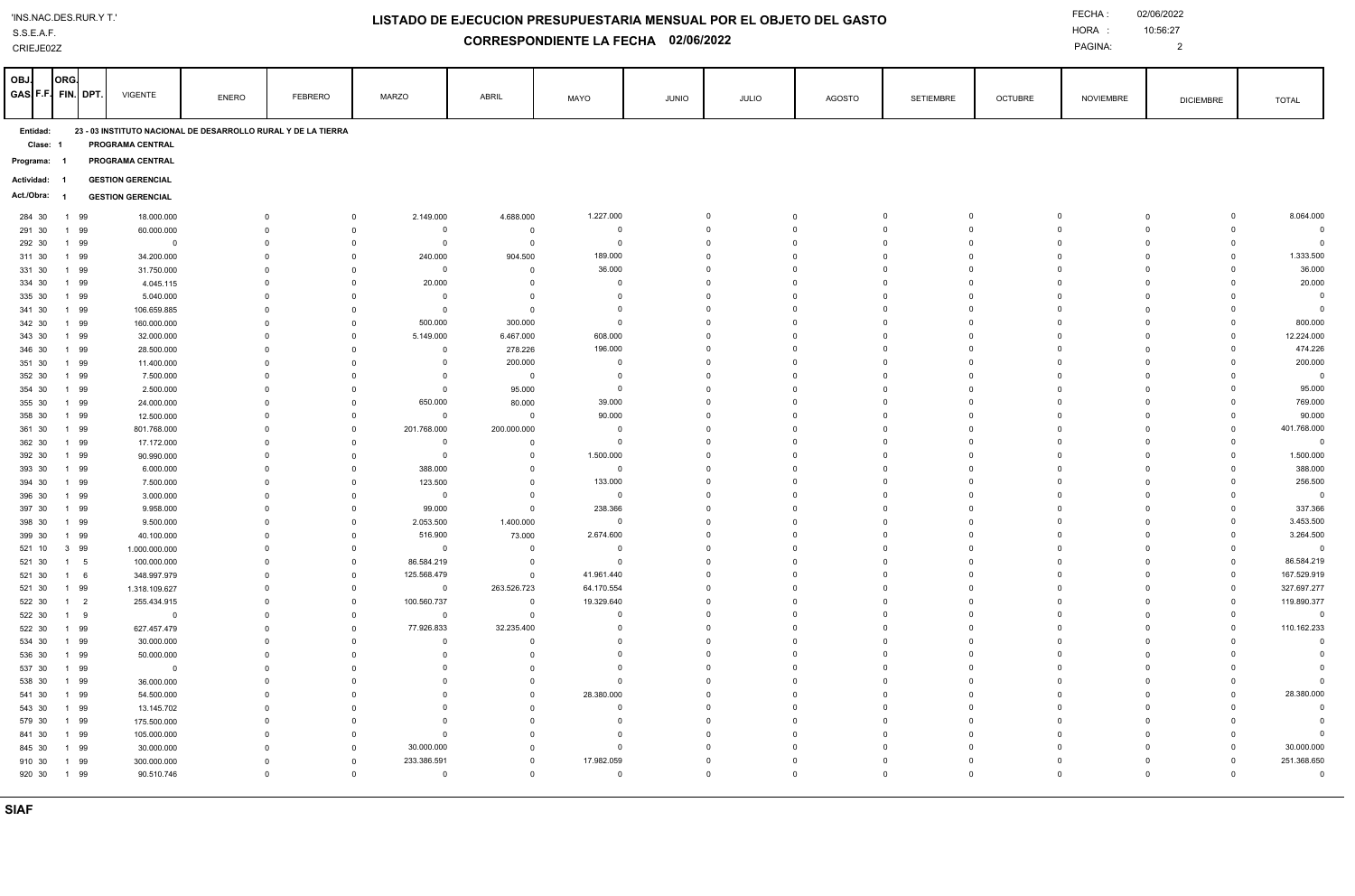| 'INS.NAC.DES.RUR.YT.' |  |
|-----------------------|--|
|-----------------------|--|

S.S.E.A.F.

## CRIEJE02Z

## **LISTADO DE EJECUCION PRESUPUESTARIA MENSUAL POR EL OBJETO DEL GASTO**

**CORRESPONDIENTE LA FECHA 02/06/2022**

PAGINA:

10:56:27 

| OBJ.<br>GAS F.F. FIN. DPT. | ORG.                                                                                                    |                     | <b>VIGENTE</b>               | <b>ENERO</b> | <b>FEBRERO</b>              | <b>MARZO</b>                                              | ABRIL                      | MAYO                     | JUNIO | JULIO                   | <b>AGOSTO</b>              | <b>SETIEMBRE</b>                                | <b>OCTUBRE</b>                | <b>NOVIEMBRE</b> | <b>DICIEMBRE</b>                                           | <b>TOTAL</b>                           |
|----------------------------|---------------------------------------------------------------------------------------------------------|---------------------|------------------------------|--------------|-----------------------------|-----------------------------------------------------------|----------------------------|--------------------------|-------|-------------------------|----------------------------|-------------------------------------------------|-------------------------------|------------------|------------------------------------------------------------|----------------------------------------|
|                            | 23 - 03 INSTITUTO NACIONAL DE DESARROLLO RURAL Y DE LA TIERRA<br>Entidad:<br>PROGRAMA CENTRAL<br>Clase: |                     |                              |              |                             |                                                           |                            |                          |       |                         |                            |                                                 |                               |                  |                                                            |                                        |
| Programa: 1                |                                                                                                         | PROGRAMA CENTRAL    |                              |              |                             |                                                           |                            |                          |       |                         |                            |                                                 |                               |                  |                                                            |                                        |
| Actividad:                 | - 1                                                                                                     |                     | <b>GESTION GERENCIAL</b>     |              |                             |                                                           |                            |                          |       |                         |                            |                                                 |                               |                  |                                                            |                                        |
| Act./Obra:                 |                                                                                                         |                     | <b>GESTION GERENCIAL</b>     |              |                             |                                                           |                            |                          |       |                         |                            |                                                 |                               |                  |                                                            |                                        |
| 284 30                     |                                                                                                         | 1 99                | 18.000.000                   |              | $\mathbf{0}$                | 2.149.000<br>$\mathbf 0$                                  | 4.688.000                  | 1.227.000                |       | $\mathbf 0$             | $\mathbf 0$                | $\mathbf 0$<br>$\Omega$                         | $\overline{0}$                |                  | $\mathbf 0$<br>$\mathbf 0$                                 | 8.064.000                              |
| 291 30                     |                                                                                                         | 1 99                | 60.000.000                   |              | $^{\circ}$                  | $\mathbf 0$<br>$\mathbf 0$                                | $^{\circ}$                 | $\overline{0}$           |       | $\mathbf 0$             | $\mathbf 0$                | $\mathbf 0$<br>$\Omega$                         | $\mathbf{0}$                  |                  | $\mathbf{0}$<br>$\mathbf 0$                                | $\overline{0}$                         |
| 292 30                     |                                                                                                         | 1 99                | $\mathbf{0}$                 |              | $\mathbf 0$                 | $\mathbf 0$<br>$\overline{0}$                             | $\mathbf 0$                | $\Omega$                 |       | $\mathbf 0$             | $\Omega$                   | $\Omega$<br>$\Omega$                            | $\mathbf{0}$                  |                  | $\overline{0}$<br>$\mathbf 0$                              | $\overline{0}$                         |
| 311 30                     | $\overline{1}$                                                                                          | 99                  | 34.200.000                   |              | $^{\circ}$                  | $\pmb{0}$<br>240.000                                      | 904.500                    | 189.000                  |       | $\mathbf 0$             | $\mathbf 0$                | $\mathbf 0$<br>$\Omega$                         | $\overline{0}$                |                  | $\pmb{0}$<br>$\mathbf{0}$                                  | 1.333.500                              |
| 331 30                     |                                                                                                         | 1 99                | 31.750.000                   |              | $\Omega$                    | $\Omega$<br>$\mathbf{0}$                                  | $\mathbf 0$                | 36.000                   |       | $\Omega$                | $\Omega$                   | $\Omega$<br>$\Omega$                            | $\Omega$                      |                  | $\mathbf{0}$<br>$\Omega$                                   | 36.000                                 |
| 334 30                     |                                                                                                         | 1 99                | 4.045.115                    |              | $\Omega$<br>$\Omega$        | 20.000<br>$\mathbf 0$                                     | $\mathbf 0$<br>$\mathbf 0$ | $\Omega$<br>$\Omega$     |       | $\Omega$<br>$\Omega$    | $\Omega$<br>$\Omega$       | $\Omega$<br>$\Omega$<br>$\Omega$<br>$\Omega$    | $\Omega$<br>$\Omega$          |                  | $\overline{0}$<br>$\Omega$<br>$\Omega$<br>$\Omega$         | 20.000                                 |
| 335 30<br>341 30           |                                                                                                         | 1 99<br>1 99        | 5.040.000<br>106.659.885     |              | $^{\circ}$                  | $\Omega$<br>$\mathbf{0}$<br>$\mathbf 0$<br>$\mathbf 0$    | $\mathbf 0$                | $^{\circ}$               |       | 0                       | $\mathbf 0$                | $\Omega$<br>0                                   | $\mathbf 0$                   |                  | $\mathbf 0$<br>$\mathbf{0}$                                | $\overline{\mathbf{0}}$<br>$\mathbf 0$ |
| 342 30                     |                                                                                                         | 1 99                | 160.000.000                  |              | $\Omega$                    | $\mathbf 0$<br>500.000                                    | 300.000                    | $\mathbf 0$              |       | $\mathbf 0$             | $\mathbf 0$                | $\mathbf 0$<br>$\Omega$                         | $\mathbf 0$                   |                  | $\mathbf 0$<br>$\overline{0}$                              | 800.000                                |
| 343 30                     |                                                                                                         | 1 99                | 32.000.000                   |              | $^{\circ}$                  | 5.149.000<br>$\mathbf 0$                                  | 6.467.000                  | 608.000                  |       | $\Omega$                | $\mathbf 0$                | $\mathbf 0$<br>$\Omega$                         | $\overline{0}$                |                  | $\overline{0}$<br>$\mathbf 0$                              | 12.224.000                             |
| 346 30                     |                                                                                                         | 1 99                | 28.500.000                   |              | $\Omega$                    | $\Omega$<br>$\mathbf{0}$                                  | 278.226                    | 196.000                  |       | $\Omega$                | $\Omega$                   | $\Omega$<br>$\Omega$                            | $\Omega$                      |                  | $\Omega$<br>$\Omega$                                       | 474.226                                |
| 351 30                     |                                                                                                         | 1 99                | 11.400.000                   |              | $\Omega$                    | $\mathbf 0$<br>$\circ$                                    | 200.000                    | $\mathbf 0$              |       | $\Omega$                | $\mathbf{0}$               | $\mathbf 0$<br>$\Omega$                         | $\Omega$                      |                  | $\mathbf{0}$<br>$\mathbf 0$                                | 200.000                                |
| 352 30                     |                                                                                                         | 1 99                | 7.500.000                    |              | $\mathbf{0}$                | $\mathbf 0$<br>$\Omega$                                   | $\mathbf 0$                | $\mathbf 0$              |       | $\Omega$                | $^{\circ}$                 | $\Omega$                                        | $\Omega$                      |                  | $\mathbf 0$<br>$\Omega$                                    | $\overline{0}$                         |
| 354 30                     |                                                                                                         | 1 99                | 2.500.000                    |              | $\mathbf 0$                 | $\mathbf 0$<br>$\mathbf 0$                                | 95.000                     | $\Omega$                 |       | $\Omega$                | $\Omega$                   | $\Omega$<br>$\Omega$                            | $\Omega$                      |                  | $\overline{0}$<br>$\mathbf 0$                              | 95.000                                 |
| 355 30                     |                                                                                                         | 1 99                | 24.000.000                   |              | $\Omega$                    | 650.000<br>$\Omega$                                       | 80.000                     | 39.000                   |       | $\mathbf 0$             | $\mathbf 0$                | $\mathbf 0$<br>$\Omega$                         | $\mathbf 0$                   |                  | $\mathbf 0$<br>$\mathbf 0$                                 | 769.000                                |
| 358 30                     |                                                                                                         | 1 99                | 12.500.000                   |              | $\overline{0}$              | $\pmb{0}$<br>$\overline{0}$                               | $\mathsf 0$                | 90.000                   |       | $\mathbf 0$             | $\mathbf 0$                | $\mathbf 0$<br>$\Omega$                         | $\mathbf{0}$                  |                  | $\mathbf 0$<br>$\pmb{0}$                                   | 90.000                                 |
| 361 30                     |                                                                                                         | 1 99                | 801.768.000                  |              | $\Omega$                    | $\Omega$<br>201.768.000                                   | 200.000.000                | $\mathbf 0$              |       | $\Omega$<br>$\Omega$    | $\Omega$                   | $\Omega$<br>$\Omega$                            | $\Omega$                      |                  | $\mathbf 0$<br>$\Omega$                                    | 401.768.000                            |
| 362 30                     |                                                                                                         | 1 99<br>1 99        | 17.172.000                   |              | $^{\circ}$<br>$\mathbf{0}$  | $\mathbf 0$<br>$\mathbf{0}$<br>$\Omega$<br>$\mathbf 0$    | $^{\circ}$<br>$^{\circ}$   | $\mathbf 0$<br>1.500.000 |       | $\mathbf 0$             | $\Omega$<br>$\mathbf 0$    | $\Omega$<br>$\Omega$<br>$\Omega$<br>$\Omega$    | $\Omega$<br>$\Omega$          |                  | $\overline{0}$<br>$\mathbf 0$<br>$^{\circ}$<br>$\mathbf 0$ | $\overline{0}$<br>1.500.000            |
| 392 30<br>393 30           |                                                                                                         | 1 99                | 90.990.000<br>6.000.000      |              | $\mathbf 0$                 | $\mathbf 0$<br>388.000                                    | $\mathsf 0$                | $\overline{\mathbf{0}}$  |       | $\mathbf 0$             | $\mathbf 0$                | $\mathbf 0$<br>$\Omega$                         | $\mathbf{0}$                  |                  | $\mathbf 0$<br>$\mathbf 0$                                 | 388.000                                |
| 394 30                     |                                                                                                         | 1 99                | 7.500.000                    |              | $^{\circ}$                  | $\mathbf 0$<br>123.500                                    | $\mathbf 0$                | 133.000                  |       | $\mathbf 0$             | $\mathbf 0$                | $\mathbf 0$<br>$\Omega$                         | $\mathbf 0$                   |                  | $\mathbf 0$<br>$\mathbf 0$                                 | 256.500                                |
| 396 30                     |                                                                                                         | 1 99                | 3.000.000                    |              | $\mathbf 0$                 | $\pmb{0}$<br>$\mathbf{0}$                                 | $\mathsf{O}$               | $\Omega$                 |       | $\Omega$                | $\Omega$                   | $\Omega$<br>$\Omega$                            | $\Omega$                      |                  | $\Omega$<br>$\Omega$                                       | $\overline{0}$                         |
| 397 30                     |                                                                                                         | 1 99                | 9.958.000                    |              | $\Omega$                    | 99.000<br>$\Omega$                                        | $\mathbf 0$                | 238.366                  |       | $\Omega$                | $\mathbf 0$                | $\Omega$<br>$\Omega$                            | $\Omega$                      |                  | $\mathbf 0$<br>$\Omega$                                    | 337.366                                |
| 398 30                     |                                                                                                         | 1 99                | 9.500.000                    |              | $\Omega$                    | $\mathbf 0$<br>2.053.500                                  | 1.400.000                  | $\mathbf 0$              |       | $\Omega$                | $\Omega$                   | $\Omega$<br>$\Omega$                            | $\Omega$                      |                  | $\mathbf 0$<br>$\mathbf{0}$                                | 3.453.500                              |
| 399 30                     |                                                                                                         | 1 99                | 40.100.000                   |              | $\Omega$                    | $\mathbf 0$<br>516.900                                    | 73.000                     | 2.674.600                |       | $\mathbf 0$             | $\mathbf 0$                | $\mathbf 0$<br>$\Omega$                         | $\mathbf{0}$                  |                  | $\mathbf 0$<br>$^{\circ}$                                  | 3.264.500                              |
| 521 10                     |                                                                                                         | 3 99                | 1.000.000.000                |              | $\Omega$                    | $\mathbf 0$<br>$\Omega$                                   | $\mathbf 0$                | $\overline{0}$           |       | $\Omega$                | $\Omega$                   | $\Omega$<br>$\Omega$                            | $\Omega$                      |                  | $\overline{0}$<br>$\mathbf 0$                              | $\overline{\mathbf{0}}$                |
| 521 30                     |                                                                                                         | 1 5                 | 100.000.000                  |              | $^{\circ}$                  | 86.584.219<br>$\mathbf 0$                                 | $\mathbf 0$                | $\mathbf 0$              |       | $\mathbf 0$             | $\mathbf 0$                | $\Omega$<br>$\mathbf 0$                         | $\mathbf 0$                   |                  | $\mathsf 0$<br>$\mathbf 0$                                 | 86.584.219                             |
| 521 30                     |                                                                                                         | $1 \quad 6$         | 348.997.979                  |              | $\Omega$                    | $\Omega$<br>125.568.479                                   | $\mathbf 0$                | 41.961.440               |       | $\Omega$<br>$\Omega$    | $\Omega$                   | $\Omega$<br>$\Omega$<br>$\Omega$<br>$\Omega$    | $\Omega$<br>$\Omega$          |                  | $\overline{0}$<br>$\mathbf 0$<br>$\mathbf 0$               | 167.529.919                            |
| 521 30<br>522 30           |                                                                                                         | 1 99<br>$1 \quad 2$ | 1.318.109.627<br>255.434.915 |              | $\Omega$<br>$\Omega$        | $\mathbf 0$<br>$\mathbf{0}$<br>100.560.737<br>$\mathbf 0$ | 263.526.723<br>$^{\circ}$  | 64.170.554<br>19.329.640 |       | $\Omega$                | $\Omega$<br>$\Omega$       | $\Omega$<br>$\Omega$                            | $\Omega$                      |                  | $\Omega$<br>$\mathbf 0$<br>$\mathbf{0}$                    | 327.697.277<br>119.890.377             |
| 522 30                     |                                                                                                         | 1 9                 | $\mathbf 0$                  |              | $\Omega$                    | $\mathbf 0$<br>$\mathbf 0$                                | $\mathbf 0$                | $\mathbf 0$              |       | $\mathbf 0$             | $\mathbf 0$                | $\mathbf 0$<br>$\Omega$                         | $\mathbf{0}$                  |                  | $\mathbf 0$<br>$\mathbf 0$                                 | $\overline{0}$                         |
| 522 30                     |                                                                                                         | 1 99                | 627.457.479                  |              | $\mathbf{0}$                | 77.926.833<br>$\pmb{0}$                                   | 32.235.400                 | $\Omega$                 |       | $\Omega$                | $\Omega$                   | $\Omega$<br>$\Omega$                            | $\Omega$                      |                  | $\mathbf 0$<br>$\overline{0}$                              | 110.162.233                            |
| 534 30                     |                                                                                                         | 1 99                | 30.000.000                   |              | $^{\circ}$                  | $\mathbf 0$<br>$\mathbf 0$                                | $^{\circ}$                 | $\Omega$                 |       | $\mathbf 0$             | $\mathbf 0$                | $\Omega$<br>$\mathbf 0$                         | $\Omega$                      |                  | $\Omega$<br>$\mathbf{0}$                                   | $\mathsf 0$                            |
| 536 30                     |                                                                                                         | 1 99                | 50.000.000                   |              | $\Omega$                    | $\Omega$<br>$\overline{0}$                                | $\Omega$                   | $\Omega$                 |       | $\Omega$                | $\Omega$                   | $\Omega$<br>$\Omega$                            | $\Omega$                      |                  | $\Omega$<br>$\overline{0}$                                 | $\Omega$                               |
| 537 30                     |                                                                                                         | 1 99                | $\mathbf 0$                  |              | $\Omega$                    | $\mathbf 0$<br>$\mathbf 0$                                | $^{\circ}$                 | $\mathbf 0$              |       | $\mathbf 0$             | $\mathbf 0$                | $\mathbf 0$<br>$\Omega$                         | $\overline{0}$                |                  | $\overline{0}$<br>$\mathbf 0$                              | $\mathbf 0$                            |
| 538 30                     |                                                                                                         | 1 99                | 36.000.000                   |              | $\overline{0}$              | $\mathbf 0$<br>$\overline{0}$                             | $\mathbf{0}$               | $\Omega$                 |       | $\Omega$                | $\Omega$                   | $\Omega$<br>$\Omega$                            | $\Omega$                      |                  | $\mathbf 0$<br>$\overline{0}$                              | $\Omega$                               |
| 541 30                     |                                                                                                         | 1 99                | 54.500.000                   |              | $^{\circ}$                  | $\mathbf 0$<br>$\mathbf{0}$                               | $\mathbf 0$                | 28.380.000               |       | $\mathbf 0$             | $\mathbf 0$                | $\mathbf 0$<br>$\Omega$                         | $\mathbf{0}$                  |                  | $\mathbf 0$<br>$\overline{0}$                              | 28.380.000                             |
| 543 30                     |                                                                                                         | 1 99                | 13.145.702                   |              | $\Omega$                    | $\Omega$<br>$\mathbf 0$                                   | $\mathbf 0$                | $\mathbf 0$              |       | $\mathbf 0$             | $\mathbf 0$                | $\mathbf 0$<br>$\Omega$                         | $\mathbf 0$                   |                  | $\mathbf 0$<br>$\mathbf 0$                                 | $\mathbf 0$                            |
| 579 30                     |                                                                                                         | 1 99                | 175.500.000                  |              | $\Omega$                    | $\mathbf{0}$<br>$\Omega$                                  | $\mathbf 0$                | $\Omega$                 |       | $\Omega$                | $\mathbf 0$                | $\Omega$<br>$\Omega$                            | $\Omega$                      |                  | $\mathbf 0$<br>$\Omega$                                    | $\overline{0}$                         |
| 841 30                     |                                                                                                         | 1 99                | 105.000.000                  |              | $\mathbf{0}$                | $\overline{0}$<br>$\Omega$                                | $\Omega$                   | $\Omega$<br>$\Omega$     |       | $\Omega$                | $\Omega$                   | $\Omega$<br>$\Omega$                            | $\Omega$                      |                  | $\Omega$<br>$\Omega$                                       | $\Omega$                               |
| 845 30                     |                                                                                                         | 1 99<br>1 99        | 30.000.000<br>300.000.000    |              | $\mathbf 0$<br>$\mathbf{0}$ | 30.000.000<br>$\mathbf 0$<br>233.386.591<br>$\Omega$      | $\mathbf 0$<br>$\Omega$    | 17.982.059               |       | $\Omega$<br>$\mathbf 0$ | $\mathbf 0$<br>$\mathbf 0$ | $\Omega$<br>$\Omega$<br>$\mathbf 0$<br>$\Omega$ | $\overline{0}$<br>$\mathbf 0$ |                  | $\mathbf 0$<br>$\mathbf{0}$<br>$\mathbf 0$<br>$\mathbf{0}$ | 30.000.000<br>251.368.650              |
| 910 30<br>920 30           |                                                                                                         | 1 99                | 90.510.746                   |              | $\mathbf 0$                 | $\mathbf 0$<br>$\mathbf{0}$                               | $\mathsf 0$                | $\mathsf 0$              |       | $\mathbf 0$             | $\mathbf 0$                | $\Omega$<br>$\mathbf 0$                         | $\mathbf{0}$                  |                  | $\mathbf 0$<br>$\mathbf 0$                                 | $\mathbf 0$                            |
|                            |                                                                                                         |                     |                              |              |                             |                                                           |                            |                          |       |                         |                            |                                                 |                               |                  |                                                            |                                        |